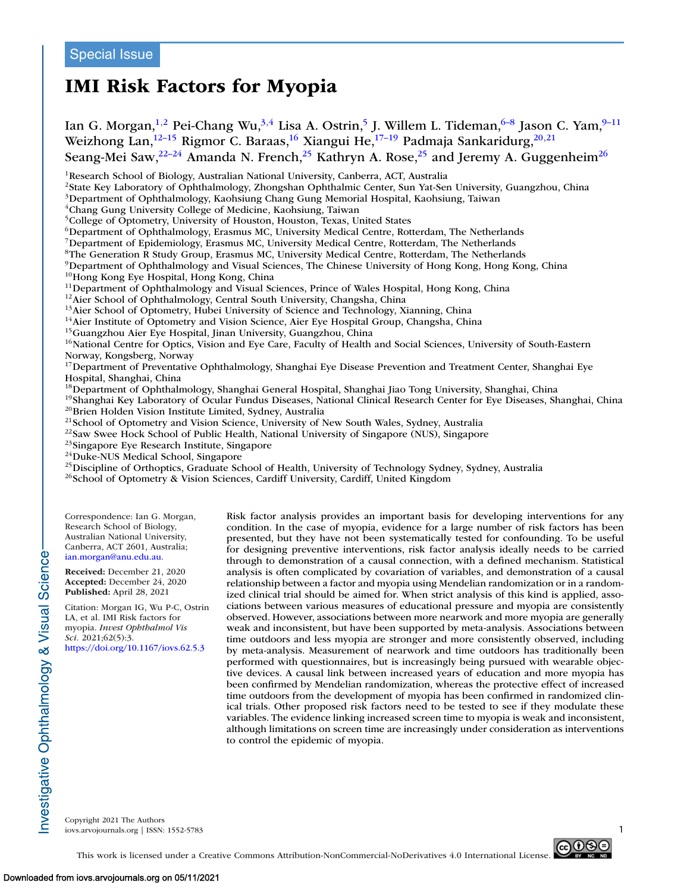# **IMI Risk Factors for Myopia**

Ian G. Morgan,<sup>1,2</sup> Pei-Chang Wu,<sup>3,4</sup> Lisa A. Ostrin,<sup>5</sup> J. Willem L. Tideman,<sup>6–8</sup> Jason C. Yam,<sup>9–11</sup> Weizhong Lan,<sup>12–15</sup> Rigmor C. Baraas,<sup>16</sup> Xiangui He,<sup>17–19</sup> Padmaja Sankaridurg,<sup>20,21</sup> Seang-Mei Saw,  $^{22-24}$  Amanda N. French,  $^{25}$  Kathryn A. Rose,  $^{25}$  and Jeremy A. Guggenheim<sup>26</sup>

<sup>1</sup>Research School of Biology, Australian National University, Canberra, ACT, Australia

2State Key Laboratory of Ophthalmology, Zhongshan Ophthalmic Center, Sun Yat-Sen University, Guangzhou, China

3Department of Ophthalmology, Kaohsiung Chang Gung Memorial Hospital, Kaohsiung, Taiwan

4Chang Gung University College of Medicine, Kaohsiung, Taiwan

<sup>5</sup>College of Optometry, University of Houston, Houston, Texas, United States

<sup>6</sup>Department of Ophthalmology, Erasmus MC, University Medical Centre, Rotterdam, The Netherlands

7Department of Epidemiology, Erasmus MC, University Medical Centre, Rotterdam, The Netherlands

<sup>8</sup>The Generation R Study Group, Erasmus MC, University Medical Centre, Rotterdam, The Netherlands

<sup>9</sup>Department of Ophthalmology and Visual Sciences, The Chinese University of Hong Kong, Hong Kong, China <sup>10</sup>Hong Kong Eve Hospital, Hong Kong, China

<sup>11</sup>Department of Ophthalmology and Visual Sciences, Prince of Wales Hospital, Hong Kong, China<br><sup>12</sup>Aier School of Ophthalmology, Central South University, Changsha, China<br><sup>13</sup>Aier School of Optometry, Hubei University of

<sup>16</sup>National Centre for Optics, Vision and Eye Care, Faculty of Health and Social Sciences, University of South-Eastern Norway, Kongsberg, Norway

<sup>17</sup>Department of Preventative Ophthalmology, Shanghai Eye Disease Prevention and Treatment Center, Shanghai Eye Hospital, Shanghai, China<br><sup>18</sup>Department of Ophthalmology, Shanghai General Hospital, Shanghai Jiao Tong University, Shanghai, China

<sup>19</sup>Shanghai Key Laboratory of Ocular Fundus Diseases, National Clinical Research Center for Eye Diseases, Shanghai, China<br><sup>20</sup>Brien Holden Vision Institute Limited, Sydney, Australia<br><sup>21</sup>School of Optometry and Vision Sc

<sup>26</sup>School of Optometry & Vision Sciences, Cardiff University, Cardiff, United Kingdom

Correspondence: Ian G. Morgan, Research School of Biology, Australian National University, Canberra, ACT 2601, Australia; [ian.morgan@anu.edu.au.](mailto:ian.morgan@anu.edu.au)

**Received:** December 21, 2020 **Accepted:** December 24, 2020 **Published:** April 28, 2021

nvestigative Ophthalmology & Visual Science

Citation: Morgan IG, Wu P-C, Ostrin LA, et al. IMI Risk factors for myopia. *Invest Ophthalmol Vis Sci.* 2021;62(5):3. <https://doi.org/10.1167/iovs.62.5.3>

Risk factor analysis provides an important basis for developing interventions for any condition. In the case of myopia, evidence for a large number of risk factors has been presented, but they have not been systematically tested for confounding. To be useful for designing preventive interventions, risk factor analysis ideally needs to be carried through to demonstration of a causal connection, with a defined mechanism. Statistical analysis is often complicated by covariation of variables, and demonstration of a causal relationship between a factor and myopia using Mendelian randomization or in a randomized clinical trial should be aimed for. When strict analysis of this kind is applied, associations between various measures of educational pressure and myopia are consistently observed. However, associations between more nearwork and more myopia are generally weak and inconsistent, but have been supported by meta-analysis. Associations between time outdoors and less myopia are stronger and more consistently observed, including by meta-analysis. Measurement of nearwork and time outdoors has traditionally been performed with questionnaires, but is increasingly being pursued with wearable objective devices. A causal link between increased years of education and more myopia has been confirmed by Mendelian randomization, whereas the protective effect of increased time outdoors from the development of myopia has been confirmed in randomized clinical trials. Other proposed risk factors need to be tested to see if they modulate these variables. The evidence linking increased screen time to myopia is weak and inconsistent, although limitations on screen time are increasingly under consideration as interventions to control the epidemic of myopia.

Copyright 2021 The Authors iovs.arvojournals.org | ISSN: 1552-5783 1



This work is licensed under a Creative Commons Attribution-NonCommercial-NoDerivatives 4.0 International License.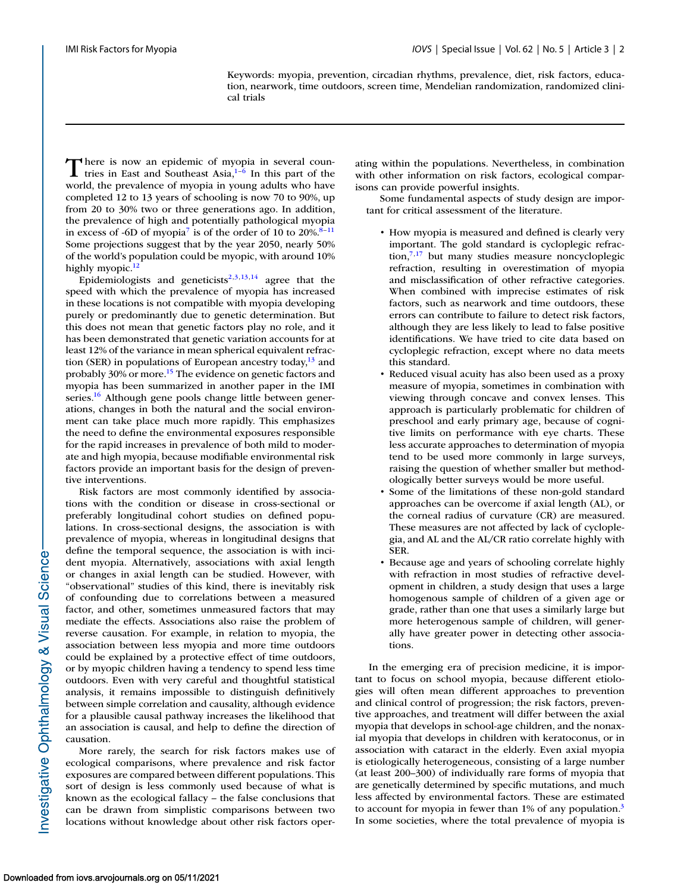Keywords: myopia, prevention, circadian rhythms, prevalence, diet, risk factors, education, nearwork, time outdoors, screen time, Mendelian randomization, randomized clinical trials

There is now an epidemic of myopia in several countries in East and Southeast Asia, $1-6$  In this part of the world, the prevalence of myopia in young adults who have completed 12 to 13 years of schooling is now 70 to 90%, up from 20 to 30% two or three generations ago. In addition, the prevalence of high and potentially pathological myopia in excess of -6D of myopia<sup>7</sup> is of the order of 10 to  $20\%^{8-11}$ Some projections suggest that by the year 2050, nearly 50% of the world's population could be myopic, with around 10% highly myopic.<sup>12</sup>

Epidemiologists and geneticists<sup>2,3,13,14</sup> agree that the speed with which the prevalence of myopia has increased in these locations is not compatible with myopia developing purely or predominantly due to genetic determination. But this does not mean that genetic factors play no role, and it has been demonstrated that genetic variation accounts for at least 12% of the variance in mean spherical equivalent refraction (SER) in populations of European ancestry today, $13$  and probably 30% or more[.15](#page-13-0) The evidence on genetic factors and myopia has been summarized in another paper in the IMI series.<sup>16</sup> Although gene pools change little between generations, changes in both the natural and the social environment can take place much more rapidly. This emphasizes the need to define the environmental exposures responsible for the rapid increases in prevalence of both mild to moderate and high myopia, because modifiable environmental risk factors provide an important basis for the design of preventive interventions.

Risk factors are most commonly identified by associations with the condition or disease in cross-sectional or preferably longitudinal cohort studies on defined populations. In cross-sectional designs, the association is with prevalence of myopia, whereas in longitudinal designs that define the temporal sequence, the association is with incident myopia. Alternatively, associations with axial length or changes in axial length can be studied. However, with "observational" studies of this kind, there is inevitably risk of confounding due to correlations between a measured factor, and other, sometimes unmeasured factors that may mediate the effects. Associations also raise the problem of reverse causation. For example, in relation to myopia, the association between less myopia and more time outdoors could be explained by a protective effect of time outdoors, or by myopic children having a tendency to spend less time outdoors. Even with very careful and thoughtful statistical analysis, it remains impossible to distinguish definitively between simple correlation and causality, although evidence for a plausible causal pathway increases the likelihood that an association is causal, and help to define the direction of causation.

More rarely, the search for risk factors makes use of ecological comparisons, where prevalence and risk factor exposures are compared between different populations. This sort of design is less commonly used because of what is known as the ecological fallacy – the false conclusions that can be drawn from simplistic comparisons between two locations without knowledge about other risk factors operating within the populations. Nevertheless, in combination with other information on risk factors, ecological comparisons can provide powerful insights.

Some fundamental aspects of study design are important for critical assessment of the literature.

- How myopia is measured and defined is clearly very important. The gold standard is cycloplegic refraction, $7,17$  but many studies measure noncycloplegic refraction, resulting in overestimation of myopia and misclassification of other refractive categories. When combined with imprecise estimates of risk factors, such as nearwork and time outdoors, these errors can contribute to failure to detect risk factors, although they are less likely to lead to false positive identifications. We have tried to cite data based on cycloplegic refraction, except where no data meets this standard.
- Reduced visual acuity has also been used as a proxy measure of myopia, sometimes in combination with viewing through concave and convex lenses. This approach is particularly problematic for children of preschool and early primary age, because of cognitive limits on performance with eye charts. These less accurate approaches to determination of myopia tend to be used more commonly in large surveys, raising the question of whether smaller but methodologically better surveys would be more useful.
- Some of the limitations of these non-gold standard approaches can be overcome if axial length (AL), or the corneal radius of curvature (CR) are measured. These measures are not affected by lack of cycloplegia, and AL and the AL/CR ratio correlate highly with SER.
- Because age and years of schooling correlate highly with refraction in most studies of refractive development in children, a study design that uses a large homogenous sample of children of a given age or grade, rather than one that uses a similarly large but more heterogenous sample of children, will generally have greater power in detecting other associations.

In the emerging era of precision medicine, it is important to focus on school myopia, because different etiologies will often mean different approaches to prevention and clinical control of progression; the risk factors, preventive approaches, and treatment will differ between the axial myopia that develops in school-age children, and the nonaxial myopia that develops in children with keratoconus, or in association with cataract in the elderly. Even axial myopia is etiologically heterogeneous, consisting of a large number (at least 200–300) of individually rare forms of myopia that are genetically determined by specific mutations, and much less affected by environmental factors. These are estimated to account for myopia in fewer than 1% of any population.<sup>3</sup> In some societies, where the total prevalence of myopia is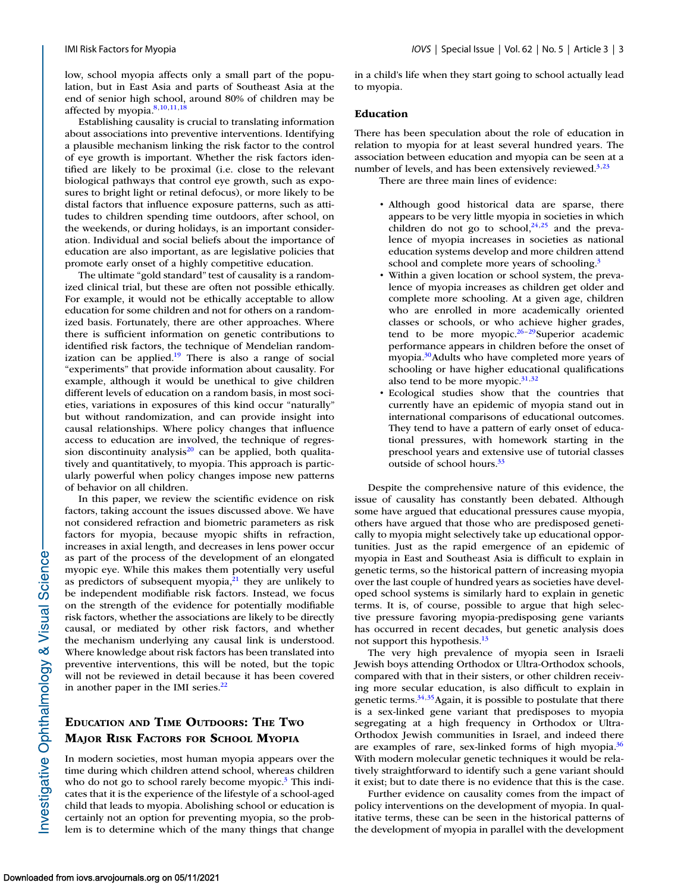low, school myopia affects only a small part of the population, but in East Asia and parts of Southeast Asia at the end of senior high school, around 80% of children may be affected by myopia[.8,10,11,18](#page-13-0)

Establishing causality is crucial to translating information about associations into preventive interventions. Identifying a plausible mechanism linking the risk factor to the control of eye growth is important. Whether the risk factors identified are likely to be proximal (i.e. close to the relevant biological pathways that control eye growth, such as exposures to bright light or retinal defocus), or more likely to be distal factors that influence exposure patterns, such as attitudes to children spending time outdoors, after school, on the weekends, or during holidays, is an important consideration. Individual and social beliefs about the importance of education are also important, as are legislative policies that promote early onset of a highly competitive education.

The ultimate "gold standard" test of causality is a randomized clinical trial, but these are often not possible ethically. For example, it would not be ethically acceptable to allow education for some children and not for others on a randomized basis. Fortunately, there are other approaches. Where there is sufficient information on genetic contributions to identified risk factors, the technique of Mendelian randomization can be applied. $19$  There is also a range of social "experiments" that provide information about causality. For example, although it would be unethical to give children different levels of education on a random basis, in most societies, variations in exposures of this kind occur "naturally" but without randomization, and can provide insight into causal relationships. Where policy changes that influence access to education are involved, the technique of regression discontinuity analysis $20$  can be applied, both qualitatively and quantitatively, to myopia. This approach is particularly powerful when policy changes impose new patterns of behavior on all children.

In this paper, we review the scientific evidence on risk factors, taking account the issues discussed above. We have not considered refraction and biometric parameters as risk factors for myopia, because myopic shifts in refraction, increases in axial length, and decreases in lens power occur as part of the process of the development of an elongated myopic eye. While this makes them potentially very useful as predictors of subsequent myopia, $21$  they are unlikely to be independent modifiable risk factors. Instead, we focus on the strength of the evidence for potentially modifiable risk factors, whether the associations are likely to be directly causal, or mediated by other risk factors, and whether the mechanism underlying any causal link is understood. Where knowledge about risk factors has been translated into preventive interventions, this will be noted, but the topic will not be reviewed in detail because it has been covered in another paper in the IMI series. $22$ 

## **EDUCATION AND TIME OUTDOORS: THE TWO MAJOR RISK FACTORS FOR SCHOOL MYOPIA**

In modern societies, most human myopia appears over the time during which children attend school, whereas children who do not go to school rarely become myopic.<sup>3</sup> This indicates that it is the experience of the lifestyle of a school-aged child that leads to myopia. Abolishing school or education is certainly not an option for preventing myopia, so the problem is to determine which of the many things that change in a child's life when they start going to school actually lead to myopia.

## **Education**

There has been speculation about the role of education in relation to myopia for at least several hundred years. The association between education and myopia can be seen at a number of levels, and has been extensively reviewed. $3,23$ 

There are three main lines of evidence:

- Although good historical data are sparse, there appears to be very little myopia in societies in which children do not go to school,  $24,25$  and the prevalence of myopia increases in societies as national education systems develop and more children attend school and complete more years of schooling.<sup>3</sup>
- Within a given location or school system, the prevalence of myopia increases as children get older and complete more schooling. At a given age, children who are enrolled in more academically oriented classes or schools, or who achieve higher grades, tend to be more myopic. $26-29$ Superior academic performance appears in children before the onset of myopia.<sup>30</sup>Adults who have completed more years of schooling or have higher educational qualifications also tend to be more myopic. $31,32$
- Ecological studies show that the countries that currently have an epidemic of myopia stand out in international comparisons of educational outcomes. They tend to have a pattern of early onset of educational pressures, with homework starting in the preschool years and extensive use of tutorial classes outside of school hours.<sup>33</sup>

Despite the comprehensive nature of this evidence, the issue of causality has constantly been debated. Although some have argued that educational pressures cause myopia, others have argued that those who are predisposed genetically to myopia might selectively take up educational opportunities. Just as the rapid emergence of an epidemic of myopia in East and Southeast Asia is difficult to explain in genetic terms, so the historical pattern of increasing myopia over the last couple of hundred years as societies have developed school systems is similarly hard to explain in genetic terms. It is, of course, possible to argue that high selective pressure favoring myopia-predisposing gene variants has occurred in recent decades, but genetic analysis does not support this hypothesis.<sup>13</sup>

The very high prevalence of myopia seen in Israeli Jewish boys attending Orthodox or Ultra-Orthodox schools, compared with that in their sisters, or other children receiving more secular education, is also difficult to explain in genetic terms[.34,35A](#page-13-0)gain, it is possible to postulate that there is a sex-linked gene variant that predisposes to myopia segregating at a high frequency in Orthodox or Ultra-Orthodox Jewish communities in Israel, and indeed there are examples of rare, sex-linked forms of high myopia. $36$ With modern molecular genetic techniques it would be relatively straightforward to identify such a gene variant should it exist; but to date there is no evidence that this is the case.

Further evidence on causality comes from the impact of policy interventions on the development of myopia. In qualitative terms, these can be seen in the historical patterns of the development of myopia in parallel with the development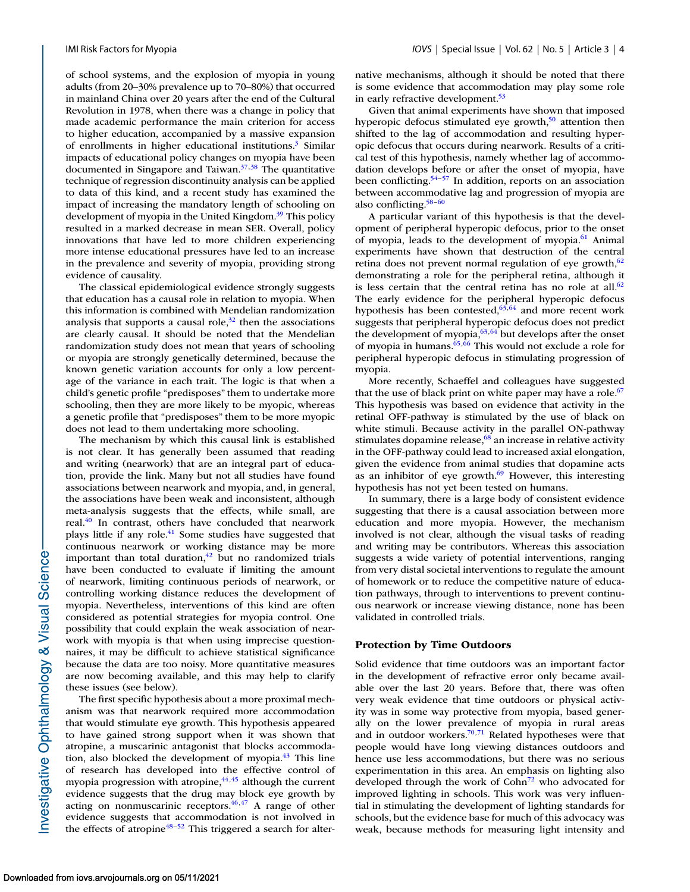of school systems, and the explosion of myopia in young adults (from 20–30% prevalence up to 70–80%) that occurred in mainland China over 20 years after the end of the Cultural Revolution in 1978, when there was a change in policy that made academic performance the main criterion for access to higher education, accompanied by a massive expansion of enrollments in higher educational institutions.<sup>3</sup> Similar impacts of educational policy changes on myopia have been documented in Singapore and Taiwan. $37,38$  The quantitative technique of regression discontinuity analysis can be applied to data of this kind, and a recent study has examined the impact of increasing the mandatory length of schooling on development of myopia in the United Kingdom.<sup>39</sup> This policy resulted in a marked decrease in mean SER. Overall, policy innovations that have led to more children experiencing more intense educational pressures have led to an increase in the prevalence and severity of myopia, providing strong evidence of causality.

The classical epidemiological evidence strongly suggests that education has a causal role in relation to myopia. When this information is combined with Mendelian randomization analysis that supports a causal role, $32$  then the associations are clearly causal. It should be noted that the Mendelian randomization study does not mean that years of schooling or myopia are strongly genetically determined, because the known genetic variation accounts for only a low percentage of the variance in each trait. The logic is that when a child's genetic profile "predisposes" them to undertake more schooling, then they are more likely to be myopic, whereas a genetic profile that "predisposes" them to be more myopic does not lead to them undertaking more schooling.

The mechanism by which this causal link is established is not clear. It has generally been assumed that reading and writing (nearwork) that are an integral part of education, provide the link. Many but not all studies have found associations between nearwork and myopia, and, in general, the associations have been weak and inconsistent, although meta-analysis suggests that the effects, while small, are real.<sup>40</sup> In contrast, others have concluded that nearwork plays little if any role.<sup>41</sup> Some studies have suggested that continuous nearwork or working distance may be more important than total duration, $42$  but no randomized trials have been conducted to evaluate if limiting the amount of nearwork, limiting continuous periods of nearwork, or controlling working distance reduces the development of myopia. Nevertheless, interventions of this kind are often considered as potential strategies for myopia control. One possibility that could explain the weak association of nearwork with myopia is that when using imprecise questionnaires, it may be difficult to achieve statistical significance because the data are too noisy. More quantitative measures are now becoming available, and this may help to clarify these issues (see below).

The first specific hypothesis about a more proximal mechanism was that nearwork required more accommodation that would stimulate eye growth. This hypothesis appeared to have gained strong support when it was shown that atropine, a muscarinic antagonist that blocks accommodation, also blocked the development of myopia. $^{43}$  This line of research has developed into the effective control of myopia progression with atropine, $44,45$  although the current evidence suggests that the drug may block eye growth by acting on nonmuscarinic receptors. $46,47$  A range of other evidence suggests that accommodation is not involved in the effects of atropine<sup>48–52</sup> This triggered a search for alternative mechanisms, although it should be noted that there is some evidence that accommodation may play some role in early refractive development.<sup>53</sup>

Given that animal experiments have shown that imposed hyperopic defocus stimulated eye growth,<sup>50</sup> attention then shifted to the lag of accommodation and resulting hyperopic defocus that occurs during nearwork. Results of a critical test of this hypothesis, namely whether lag of accommodation develops before or after the onset of myopia, have been conflicting.<sup>54–57</sup> In addition, reports on an association between accommodative lag and progression of myopia are also conflicting[.58–60](#page-14-0)

A particular variant of this hypothesis is that the development of peripheral hyperopic defocus, prior to the onset of myopia, leads to the development of myopia. $^{61}$  Animal experiments have shown that destruction of the central retina does not prevent normal regulation of eye growth, $62$ demonstrating a role for the peripheral retina, although it is less certain that the central retina has no role at all. $62$ The early evidence for the peripheral hyperopic defocus hypothesis has been contested,<sup>63,64</sup> and more recent work suggests that peripheral hyperopic defocus does not predict the development of myopia,  $63,64$  but develops after the onset of myopia in humans.<sup>65, $\overline{66}$ </sup> This would not exclude a role for peripheral hyperopic defocus in stimulating progression of myopia.

More recently, Schaeffel and colleagues have suggested that the use of black print on white paper may have a role. $67$ This hypothesis was based on evidence that activity in the retinal OFF-pathway is stimulated by the use of black on white stimuli. Because activity in the parallel ON-pathway stimulates dopamine release,<sup>68</sup> an increase in relative activity in the OFF-pathway could lead to increased axial elongation, given the evidence from animal studies that dopamine acts as an inhibitor of eye growth. $69$  However, this interesting hypothesis has not yet been tested on humans.

In summary, there is a large body of consistent evidence suggesting that there is a causal association between more education and more myopia. However, the mechanism involved is not clear, although the visual tasks of reading and writing may be contributors. Whereas this association suggests a wide variety of potential interventions, ranging from very distal societal interventions to regulate the amount of homework or to reduce the competitive nature of education pathways, through to interventions to prevent continuous nearwork or increase viewing distance, none has been validated in controlled trials.

## **Protection by Time Outdoors**

Solid evidence that time outdoors was an important factor in the development of refractive error only became available over the last 20 years. Before that, there was often very weak evidence that time outdoors or physical activity was in some way protective from myopia, based generally on the lower prevalence of myopia in rural areas and in outdoor workers.<sup>70,71</sup> Related hypotheses were that people would have long viewing distances outdoors and hence use less accommodations, but there was no serious experimentation in this area. An emphasis on lighting also developed through the work of  $Cohn<sup>72</sup>$  who advocated for improved lighting in schools. This work was very influential in stimulating the development of lighting standards for schools, but the evidence base for much of this advocacy was weak, because methods for measuring light intensity and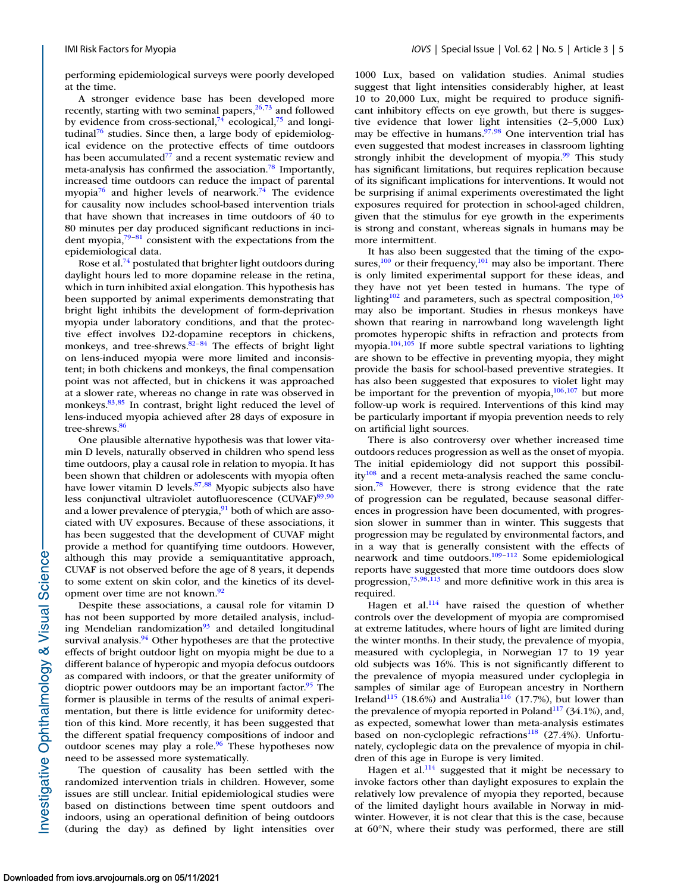performing epidemiological surveys were poorly developed at the time.

A stronger evidence base has been developed more recently, starting with two seminal papers, $26,73$  $26,73$  and followed by evidence from cross-sectional,<sup>74</sup> ecological,<sup>75</sup> and longi-tudinal<sup>[76](#page-14-0)</sup> studies. Since then, a large body of epidemiological evidence on the protective effects of time outdoors has been accumulated $^{77}$  and a recent systematic review and meta-analysis has confirmed the association.<sup>78</sup> Importantly, increased time outdoors can reduce the impact of parental myopia<sup>76</sup> and higher levels of nearwork.<sup>74</sup> The evidence for causality now includes school-based intervention trials that have shown that increases in time outdoors of 40 to 80 minutes per day produced significant reductions in incident myopia, $79-81$  consistent with the expectations from the epidemiological data.

Rose et al.<sup>74</sup> postulated that brighter light outdoors during daylight hours led to more dopamine release in the retina, which in turn inhibited axial elongation. This hypothesis has been supported by animal experiments demonstrating that bright light inhibits the development of form-deprivation myopia under laboratory conditions, and that the protective effect involves D2-dopamine receptors in chickens, monkeys, and tree-shrews. $82-84$  The effects of bright light on lens-induced myopia were more limited and inconsistent; in both chickens and monkeys, the final compensation point was not affected, but in chickens it was approached at a slower rate, whereas no change in rate was observed in monkeys.<sup>83,85</sup> In contrast, bright light reduced the level of lens-induced myopia achieved after 28 days of exposure in tree-shrews.<sup>86</sup>

One plausible alternative hypothesis was that lower vitamin D levels, naturally observed in children who spend less time outdoors, play a causal role in relation to myopia. It has been shown that children or adolescents with myopia often have lower vitamin D levels. $87,88$  Myopic subjects also have less conjunctival ultraviolet autofluorescence  $(CUVAF)^{89,90}$ and a lower prevalence of pterygia, $91$  both of which are associated with UV exposures. Because of these associations, it has been suggested that the development of CUVAF might provide a method for quantifying time outdoors. However, although this may provide a semiquantitative approach, CUVAF is not observed before the age of 8 years, it depends to some extent on skin color, and the kinetics of its development over time are not known.<sup>92</sup>

Despite these associations, a causal role for vitamin D has not been supported by more detailed analysis, including Mendelian randomization $93$  and detailed longitudinal survival analysis.<sup>94</sup> Other hypotheses are that the protective effects of bright outdoor light on myopia might be due to a different balance of hyperopic and myopia defocus outdoors as compared with indoors, or that the greater uniformity of dioptric power outdoors may be an important factor.<sup>95</sup> The former is plausible in terms of the results of animal experimentation, but there is little evidence for uniformity detection of this kind. More recently, it has been suggested that the different spatial frequency compositions of indoor and outdoor scenes may play a role.<sup>96</sup> These hypotheses now need to be assessed more systematically.

The question of causality has been settled with the randomized intervention trials in children. However, some issues are still unclear. Initial epidemiological studies were based on distinctions between time spent outdoors and indoors, using an operational definition of being outdoors (during the day) as defined by light intensities over 1000 Lux, based on validation studies. Animal studies suggest that light intensities considerably higher, at least 10 to 20,000 Lux, might be required to produce significant inhibitory effects on eye growth, but there is suggestive evidence that lower light intensities (2–5,000 Lux) may be effective in humans. $\frac{97,98}{90}$  One intervention trial has even suggested that modest increases in classroom lighting strongly inhibit the development of myopia. $\frac{99}{7}$  This study has significant limitations, but requires replication because of its significant implications for interventions. It would not be surprising if animal experiments overestimated the light exposures required for protection in school-aged children, given that the stimulus for eye growth in the experiments is strong and constant, whereas signals in humans may be more intermittent.

It has also been suggested that the timing of the exposures, $100$  or their frequency, $101$  may also be important. There is only limited experimental support for these ideas, and they have not yet been tested in humans. The type of lighting<sup>102</sup> and parameters, such as spectral composition, $103$ may also be important. Studies in rhesus monkeys have shown that rearing in narrowband long wavelength light promotes hyperopic shifts in refraction and protects from myopia[.104,105](#page-15-0) If more subtle spectral variations to lighting are shown to be effective in preventing myopia, they might provide the basis for school-based preventive strategies. It has also been suggested that exposures to violet light may be important for the prevention of myopia, $106,107$  but more follow-up work is required. Interventions of this kind may be particularly important if myopia prevention needs to rely on artificial light sources.

There is also controversy over whether increased time outdoors reduces progression as well as the onset of myopia. The initial epidemiology did not support this possibil $ity^{108}$  and a recent meta-analysis reached the same conclusion.<sup>78</sup> However, there is strong evidence that the rate of progression can be regulated, because seasonal differences in progression have been documented, with progression slower in summer than in winter. This suggests that progression may be regulated by environmental factors, and in a way that is generally consistent with the effects of nearwork and time outdoors.<sup>109-112</sup> Some epidemiological reports have suggested that more time outdoors does slow progression, $73,98,113$  $73,98,113$  and more definitive work in this area is required.

Hagen et al. $114$  have raised the question of whether controls over the development of myopia are compromised at extreme latitudes, where hours of light are limited during the winter months. In their study, the prevalence of myopia, measured with cycloplegia, in Norwegian 17 to 19 year old subjects was 16%. This is not significantly different to the prevalence of myopia measured under cycloplegia in samples of similar age of European ancestry in Northern Ireland<sup>[115](#page-15-0)</sup> (18.6%) and Australia<sup>116</sup> (17.7%), but lower than the prevalence of myopia reported in Poland $117$  (34.1%), and, as expected, somewhat lower than meta-analysis estimates based on non-cycloplegic refractions<sup>118</sup> (27.4%). Unfortunately, cycloplegic data on the prevalence of myopia in children of this age in Europe is very limited.

Hagen et al.<sup>114</sup> suggested that it might be necessary to invoke factors other than daylight exposures to explain the relatively low prevalence of myopia they reported, because of the limited daylight hours available in Norway in midwinter. However, it is not clear that this is the case, because at 60°N, where their study was performed, there are still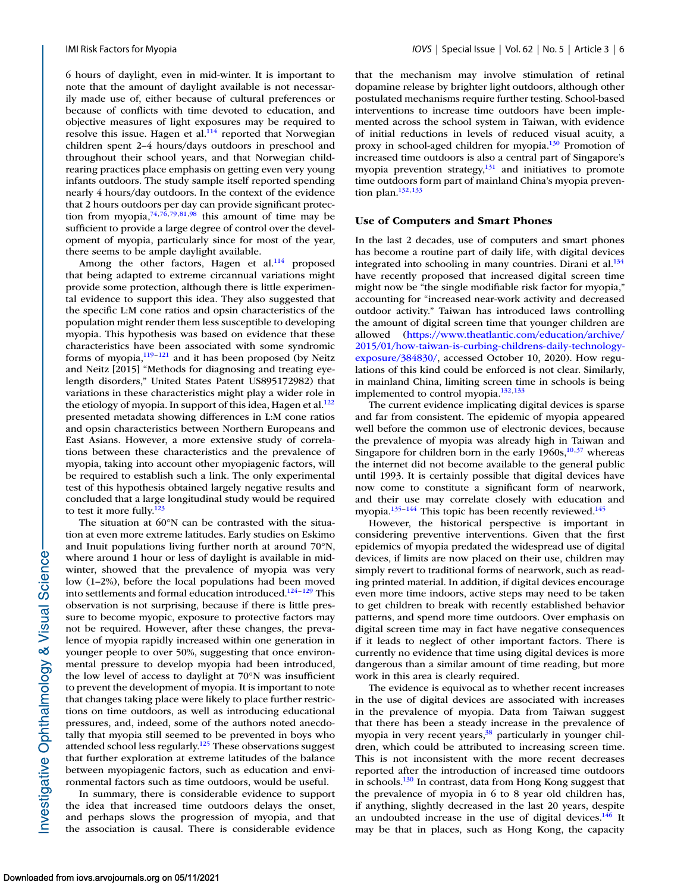6 hours of daylight, even in mid-winter. It is important to note that the amount of daylight available is not necessarily made use of, either because of cultural preferences or because of conflicts with time devoted to education, and objective measures of light exposures may be required to resolve this issue. Hagen et al.<sup>114</sup> reported that Norwegian children spent 2–4 hours/days outdoors in preschool and throughout their school years, and that Norwegian childrearing practices place emphasis on getting even very young infants outdoors. The study sample itself reported spending nearly 4 hours/day outdoors. In the context of the evidence that 2 hours outdoors per day can provide significant protection from myopia,  $74,76,79,81,98$  $74,76,79,81,98$  this amount of time may be sufficient to provide a large degree of control over the development of myopia, particularly since for most of the year, there seems to be ample daylight available.

Among the other factors, Hagen et al.<sup>114</sup> proposed that being adapted to extreme circannual variations might provide some protection, although there is little experimental evidence to support this idea. They also suggested that the specific L:M cone ratios and opsin characteristics of the population might render them less susceptible to developing myopia. This hypothesis was based on evidence that these characteristics have been associated with some syndromic forms of myopia, $119-121$  $119-121$  and it has been proposed (by Neitz and Neitz [2015] "Methods for diagnosing and treating eyelength disorders," United States Patent US895172982) that variations in these characteristics might play a wider role in the etiology of myopia. In support of this idea, Hagen et al.<sup>122</sup> presented metadata showing differences in L:M cone ratios and opsin characteristics between Northern Europeans and East Asians. However, a more extensive study of correlations between these characteristics and the prevalence of myopia, taking into account other myopiagenic factors, will be required to establish such a link. The only experimental test of this hypothesis obtained largely negative results and concluded that a large longitudinal study would be required to test it more fully. $123$ 

The situation at 60°N can be contrasted with the situation at even more extreme latitudes. Early studies on Eskimo and Inuit populations living further north at around 70°N, where around 1 hour or less of daylight is available in midwinter, showed that the prevalence of myopia was very low (1–2%), before the local populations had been moved into settlements and formal education introduced.<sup>124-129</sup> This observation is not surprising, because if there is little pressure to become myopic, exposure to protective factors may not be required. However, after these changes, the prevalence of myopia rapidly increased within one generation in younger people to over 50%, suggesting that once environmental pressure to develop myopia had been introduced, the low level of access to daylight at 70°N was insufficient to prevent the development of myopia. It is important to note that changes taking place were likely to place further restrictions on time outdoors, as well as introducing educational pressures, and, indeed, some of the authors noted anecdotally that myopia still seemed to be prevented in boys who attended school less regularly[.125](#page-16-0) These observations suggest that further exploration at extreme latitudes of the balance between myopiagenic factors, such as education and environmental factors such as time outdoors, would be useful.

In summary, there is considerable evidence to support the idea that increased time outdoors delays the onset, and perhaps slows the progression of myopia, and that the association is causal. There is considerable evidence

that the mechanism may involve stimulation of retinal dopamine release by brighter light outdoors, although other postulated mechanisms require further testing. School-based interventions to increase time outdoors have been implemented across the school system in Taiwan, with evidence of initial reductions in levels of reduced visual acuity, a proxy in school-aged children for myopia[.130](#page-16-0) Promotion of increased time outdoors is also a central part of Singapore's myopia prevention strategy, $\frac{131}{2}$  and initiatives to promote time outdoors form part of mainland China's myopia prevention plan. $132,133$ 

## **Use of Computers and Smart Phones**

In the last 2 decades, use of computers and smart phones has become a routine part of daily life, with digital devices integrated into schooling in many countries. Dirani et al. $134$ have recently proposed that increased digital screen time might now be "the single modifiable risk factor for myopia," accounting for "increased near-work activity and decreased outdoor activity." Taiwan has introduced laws controlling the amount of digital screen time that younger children are allowed (https://www.theatlantic.com/education/archive/ [2015/01/how-taiwan-is-curbing-childrens-daily-technology](https://www.theatlantic.com/education/archive/2015/01/how-taiwan-is-curbing-childrens-daily-technology-exposure/384830/)exposure/384830/, accessed October 10, 2020). How regulations of this kind could be enforced is not clear. Similarly, in mainland China, limiting screen time in schools is being implemented to control myopia[.132,133](#page-16-0)

The current evidence implicating digital devices is sparse and far from consistent. The epidemic of myopia appeared well before the common use of electronic devices, because the prevalence of myopia was already high in Taiwan and Singapore for children born in the early  $1960s$ ,<sup>10,37</sup> whereas the internet did not become available to the general public until 1993. It is certainly possible that digital devices have now come to constitute a significant form of nearwork, and their use may correlate closely with education and myopia.<sup>135–144</sup> This topic has been recently reviewed.<sup>145</sup>

However, the historical perspective is important in considering preventive interventions. Given that the first epidemics of myopia predated the widespread use of digital devices, if limits are now placed on their use, children may simply revert to traditional forms of nearwork, such as reading printed material. In addition, if digital devices encourage even more time indoors, active steps may need to be taken to get children to break with recently established behavior patterns, and spend more time outdoors. Over emphasis on digital screen time may in fact have negative consequences if it leads to neglect of other important factors. There is currently no evidence that time using digital devices is more dangerous than a similar amount of time reading, but more work in this area is clearly required.

The evidence is equivocal as to whether recent increases in the use of digital devices are associated with increases in the prevalence of myopia. Data from Taiwan suggest that there has been a steady increase in the prevalence of myopia in very recent years, $38$  particularly in younger children, which could be attributed to increasing screen time. This is not inconsistent with the more recent decreases reported after the introduction of increased time outdoors in schools. $130$  In contrast, data from Hong Kong suggest that the prevalence of myopia in 6 to 8 year old children has, if anything, slightly decreased in the last 20 years, despite an undoubted increase in the use of digital devices. $146$  It may be that in places, such as Hong Kong, the capacity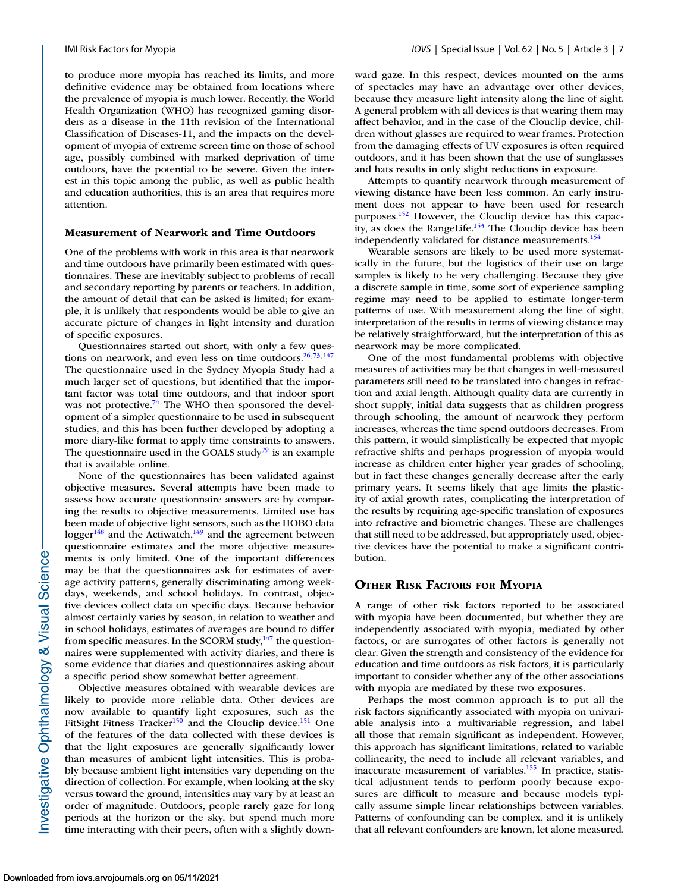to produce more myopia has reached its limits, and more definitive evidence may be obtained from locations where the prevalence of myopia is much lower. Recently, the World Health Organization (WHO) has recognized gaming disorders as a disease in the 11th revision of the International Classification of Diseases-11, and the impacts on the development of myopia of extreme screen time on those of school age, possibly combined with marked deprivation of time outdoors, have the potential to be severe. Given the interest in this topic among the public, as well as public health and education authorities, this is an area that requires more attention.

#### **Measurement of Nearwork and Time Outdoors**

One of the problems with work in this area is that nearwork and time outdoors have primarily been estimated with questionnaires. These are inevitably subject to problems of recall and secondary reporting by parents or teachers. In addition, the amount of detail that can be asked is limited; for example, it is unlikely that respondents would be able to give an accurate picture of changes in light intensity and duration of specific exposures.

Questionnaires started out short, with only a few questions on nearwork, and even less on time outdoors. $26,73,147$  $26,73,147$  $26,73,147$ The questionnaire used in the Sydney Myopia Study had a much larger set of questions, but identified that the important factor was total time outdoors, and that indoor sport was not protective.<sup>74</sup> The WHO then sponsored the development of a simpler questionnaire to be used in subsequent studies, and this has been further developed by adopting a more diary-like format to apply time constraints to answers. The questionnaire used in the GOALS study<sup>79</sup> is an example that is available online.

None of the questionnaires has been validated against objective measures. Several attempts have been made to assess how accurate questionnaire answers are by comparing the results to objective measurements. Limited use has been made of objective light sensors, such as the HOBO data logger<sup>[148](#page-16-0)</sup> and the Actiwatch,<sup>149</sup> and the agreement between questionnaire estimates and the more objective measurements is only limited. One of the important differences may be that the questionnaires ask for estimates of average activity patterns, generally discriminating among weekdays, weekends, and school holidays. In contrast, objective devices collect data on specific days. Because behavior almost certainly varies by season, in relation to weather and in school holidays, estimates of averages are bound to differ from specific measures. In the SCORM study,<sup>147</sup> the questionnaires were supplemented with activity diaries, and there is some evidence that diaries and questionnaires asking about a specific period show somewhat better agreement.

Objective measures obtained with wearable devices are likely to provide more reliable data. Other devices are now available to quantify light exposures, such as the FitSight Fitness Tracker<sup>[150](#page-16-0)</sup> and the Clouclip device.<sup>151</sup> One of the features of the data collected with these devices is that the light exposures are generally significantly lower than measures of ambient light intensities. This is probably because ambient light intensities vary depending on the direction of collection. For example, when looking at the sky versus toward the ground, intensities may vary by at least an order of magnitude. Outdoors, people rarely gaze for long periods at the horizon or the sky, but spend much more time interacting with their peers, often with a slightly downward gaze. In this respect, devices mounted on the arms of spectacles may have an advantage over other devices, because they measure light intensity along the line of sight. A general problem with all devices is that wearing them may affect behavior, and in the case of the Clouclip device, children without glasses are required to wear frames. Protection from the damaging effects of UV exposures is often required outdoors, and it has been shown that the use of sunglasses and hats results in only slight reductions in exposure.

Attempts to quantify nearwork through measurement of viewing distance have been less common. An early instrument does not appear to have been used for research purposes.<sup>152</sup> However, the Clouclip device has this capacity, as does the RangeLife. $153$  The Clouclip device has been independently validated for distance measurements.<sup>154</sup>

Wearable sensors are likely to be used more systematically in the future, but the logistics of their use on large samples is likely to be very challenging. Because they give a discrete sample in time, some sort of experience sampling regime may need to be applied to estimate longer-term patterns of use. With measurement along the line of sight, interpretation of the results in terms of viewing distance may be relatively straightforward, but the interpretation of this as nearwork may be more complicated.

One of the most fundamental problems with objective measures of activities may be that changes in well-measured parameters still need to be translated into changes in refraction and axial length. Although quality data are currently in short supply, initial data suggests that as children progress through schooling, the amount of nearwork they perform increases, whereas the time spend outdoors decreases. From this pattern, it would simplistically be expected that myopic refractive shifts and perhaps progression of myopia would increase as children enter higher year grades of schooling, but in fact these changes generally decrease after the early primary years. It seems likely that age limits the plasticity of axial growth rates, complicating the interpretation of the results by requiring age-specific translation of exposures into refractive and biometric changes. These are challenges that still need to be addressed, but appropriately used, objective devices have the potential to make a significant contribution.

## **OTHER RISK FACTORS FOR MYOPIA**

A range of other risk factors reported to be associated with myopia have been documented, but whether they are independently associated with myopia, mediated by other factors, or are surrogates of other factors is generally not clear. Given the strength and consistency of the evidence for education and time outdoors as risk factors, it is particularly important to consider whether any of the other associations with myopia are mediated by these two exposures.

Perhaps the most common approach is to put all the risk factors significantly associated with myopia on univariable analysis into a multivariable regression, and label all those that remain significant as independent. However, this approach has significant limitations, related to variable collinearity, the need to include all relevant variables, and inaccurate measurement of variables. $155$  In practice, statistical adjustment tends to perform poorly because exposures are difficult to measure and because models typically assume simple linear relationships between variables. Patterns of confounding can be complex, and it is unlikely that all relevant confounders are known, let alone measured.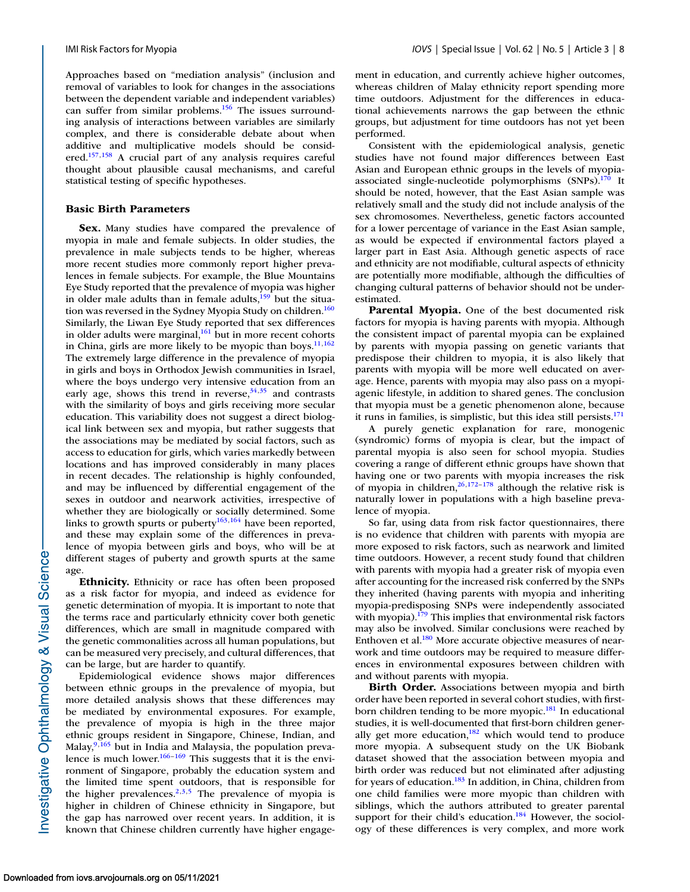Approaches based on "mediation analysis" (inclusion and removal of variables to look for changes in the associations between the dependent variable and independent variables) can suffer from similar problems.<sup>156</sup> The issues surrounding analysis of interactions between variables are similarly complex, and there is considerable debate about when additive and multiplicative models should be considered[.157,158](#page-16-0) A crucial part of any analysis requires careful thought about plausible causal mechanisms, and careful statistical testing of specific hypotheses.

## **Basic Birth Parameters**

**Sex.** Many studies have compared the prevalence of myopia in male and female subjects. In older studies, the prevalence in male subjects tends to be higher, whereas more recent studies more commonly report higher prevalences in female subjects. For example, the Blue Mountains Eye Study reported that the prevalence of myopia was higher in older male adults than in female adults, $\frac{159}{159}$  but the situation was reversed in the Sydney Myopia Study on children.<sup>160</sup> Similarly, the Liwan Eye Study reported that sex differences in older adults were marginal,<sup>161</sup> but in more recent cohorts in China, girls are more likely to be myopic than boys. $11,162$  $11,162$ The extremely large difference in the prevalence of myopia in girls and boys in Orthodox Jewish communities in Israel, where the boys undergo very intensive education from an early age, shows this trend in reverse,  $34,35$  and contrasts with the similarity of boys and girls receiving more secular education. This variability does not suggest a direct biological link between sex and myopia, but rather suggests that the associations may be mediated by social factors, such as access to education for girls, which varies markedly between locations and has improved considerably in many places in recent decades. The relationship is highly confounded, and may be influenced by differential engagement of the sexes in outdoor and nearwork activities, irrespective of whether they are biologically or socially determined. Some links to growth spurts or puberty<sup>163,164</sup> have been reported, and these may explain some of the differences in prevalence of myopia between girls and boys, who will be at different stages of puberty and growth spurts at the same age.

**Ethnicity.** Ethnicity or race has often been proposed as a risk factor for myopia, and indeed as evidence for genetic determination of myopia. It is important to note that the terms race and particularly ethnicity cover both genetic differences, which are small in magnitude compared with the genetic commonalities across all human populations, but can be measured very precisely, and cultural differences, that can be large, but are harder to quantify.

Epidemiological evidence shows major differences between ethnic groups in the prevalence of myopia, but more detailed analysis shows that these differences may be mediated by environmental exposures. For example, the prevalence of myopia is high in the three major ethnic groups resident in Singapore, Chinese, Indian, and Malay, $9,165$  $9,165$  but in India and Malaysia, the population prevalence is much lower.<sup>166–169</sup> This suggests that it is the environment of Singapore, probably the education system and the limited time spent outdoors, that is responsible for the higher prevalences.<sup>2,3,5</sup> The prevalence of myopia is higher in children of Chinese ethnicity in Singapore, but the gap has narrowed over recent years. In addition, it is known that Chinese children currently have higher engagement in education, and currently achieve higher outcomes, whereas children of Malay ethnicity report spending more time outdoors. Adjustment for the differences in educational achievements narrows the gap between the ethnic groups, but adjustment for time outdoors has not yet been performed.

Consistent with the epidemiological analysis, genetic studies have not found major differences between East Asian and European ethnic groups in the levels of myopiaassociated single-nucleotide polymorphisms (SNPs)[.170](#page-17-0) It should be noted, however, that the East Asian sample was relatively small and the study did not include analysis of the sex chromosomes. Nevertheless, genetic factors accounted for a lower percentage of variance in the East Asian sample, as would be expected if environmental factors played a larger part in East Asia. Although genetic aspects of race and ethnicity are not modifiable, cultural aspects of ethnicity are potentially more modifiable, although the difficulties of changing cultural patterns of behavior should not be underestimated.

**Parental Myopia.** One of the best documented risk factors for myopia is having parents with myopia. Although the consistent impact of parental myopia can be explained by parents with myopia passing on genetic variants that predispose their children to myopia, it is also likely that parents with myopia will be more well educated on average. Hence, parents with myopia may also pass on a myopiagenic lifestyle, in addition to shared genes. The conclusion that myopia must be a genetic phenomenon alone, because it runs in families, is simplistic, but this idea still persists. $171$ 

A purely genetic explanation for rare, monogenic (syndromic) forms of myopia is clear, but the impact of parental myopia is also seen for school myopia. Studies covering a range of different ethnic groups have shown that having one or two parents with myopia increases the risk of myopia in children,  $^{26,172-178}$  although the relative risk is naturally lower in populations with a high baseline prevalence of myopia.

So far, using data from risk factor questionnaires, there is no evidence that children with parents with myopia are more exposed to risk factors, such as nearwork and limited time outdoors. However, a recent study found that children with parents with myopia had a greater risk of myopia even after accounting for the increased risk conferred by the SNPs they inherited (having parents with myopia and inheriting myopia-predisposing SNPs were independently associated with myopia). $179$  This implies that environmental risk factors may also be involved. Similar conclusions were reached by Enthoven et al[.180](#page-17-0) More accurate objective measures of nearwork and time outdoors may be required to measure differences in environmental exposures between children with and without parents with myopia.

**Birth Order.** Associations between myopia and birth order have been reported in several cohort studies, with firstborn children tending to be more myopic.<sup>181</sup> In educational studies, it is well-documented that first-born children generally get more education, $182$  which would tend to produce more myopia. A subsequent study on the UK Biobank dataset showed that the association between myopia and birth order was reduced but not eliminated after adjusting for years of education.<sup>183</sup> In addition, in China, children from one child families were more myopic than children with siblings, which the authors attributed to greater parental support for their child's education.<sup>184</sup> However, the sociology of these differences is very complex, and more work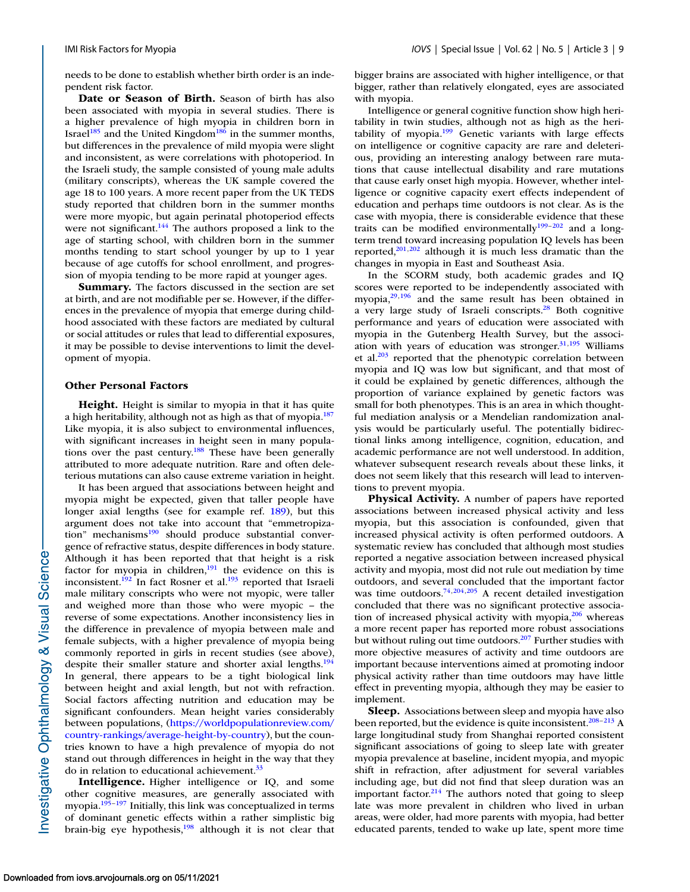needs to be done to establish whether birth order is an independent risk factor.

**Date or Season of Birth.** Season of birth has also been associated with myopia in several studies. There is a higher prevalence of high myopia in children born in Israel<sup>[185](#page-17-0)</sup> and the United Kingdom<sup>186</sup> in the summer months, but differences in the prevalence of mild myopia were slight and inconsistent, as were correlations with photoperiod. In the Israeli study, the sample consisted of young male adults (military conscripts), whereas the UK sample covered the age 18 to 100 years. A more recent paper from the UK TEDS study reported that children born in the summer months were more myopic, but again perinatal photoperiod effects were not significant.<sup>144</sup> The authors proposed a link to the age of starting school, with children born in the summer months tending to start school younger by up to 1 year because of age cutoffs for school enrollment, and progression of myopia tending to be more rapid at younger ages.

**Summary.** The factors discussed in the section are set at birth, and are not modifiable per se. However, if the differences in the prevalence of myopia that emerge during childhood associated with these factors are mediated by cultural or social attitudes or rules that lead to differential exposures, it may be possible to devise interventions to limit the development of myopia.

#### **Other Personal Factors**

**Height.** Height is similar to myopia in that it has quite a high heritability, although not as high as that of myopia.<sup>18</sup> Like myopia, it is also subject to environmental influences, with significant increases in height seen in many populations over the past century.<sup>188</sup> These have been generally attributed to more adequate nutrition. Rare and often deleterious mutations can also cause extreme variation in height.

It has been argued that associations between height and myopia might be expected, given that taller people have longer axial lengths (see for example ref. [189\)](#page-17-0), but this argument does not take into account that "emmetropization" mechanisms $190$  should produce substantial convergence of refractive status, despite differences in body stature. Although it has been reported that that height is a risk factor for myopia in children, $191$  the evidence on this is inconsistent.<sup>192</sup> In fact Rosner et al.<sup>193</sup> reported that Israeli male military conscripts who were not myopic, were taller and weighed more than those who were myopic – the reverse of some expectations. Another inconsistency lies in the difference in prevalence of myopia between male and female subjects, with a higher prevalence of myopia being commonly reported in girls in recent studies (see above), despite their smaller stature and shorter axial lengths.<sup>194</sup> In general, there appears to be a tight biological link between height and axial length, but not with refraction. Social factors affecting nutrition and education may be significant confounders. Mean height varies considerably between populations, (https://worldpopulationreview.com/ [country-rankings/average-height-by-country\), but the coun](https://worldpopulationreview.com/country-rankings/average-height-by-country)tries known to have a high prevalence of myopia do not stand out through differences in height in the way that they do in relation to educational achievement.<sup>33</sup>

**Intelligence.** Higher intelligence or IQ, and some other cognitive measures, are generally associated with myopia[.195–197](#page-17-0) Initially, this link was conceptualized in terms of dominant genetic effects within a rather simplistic big brain-big eye hypothesis,<sup>198</sup> although it is not clear that bigger brains are associated with higher intelligence, or that bigger, rather than relatively elongated, eyes are associated with myopia.

Intelligence or general cognitive function show high heritability in twin studies, although not as high as the heritability of myopia. $199$  Genetic variants with large effects on intelligence or cognitive capacity are rare and deleterious, providing an interesting analogy between rare mutations that cause intellectual disability and rare mutations that cause early onset high myopia. However, whether intelligence or cognitive capacity exert effects independent of education and perhaps time outdoors is not clear. As is the case with myopia, there is considerable evidence that these traits can be modified environmentally<sup>199-[202](#page-18-0)</sup> and a longterm trend toward increasing population IQ levels has been reported, $201,202$  although it is much less dramatic than the changes in myopia in East and Southeast Asia.

In the SCORM study, both academic grades and IQ scores were reported to be independently associated with myopia[,29](#page-13-0)[,196](#page-17-0) and the same result has been obtained in a very large study of Israeli conscripts.<sup>28</sup> Both cognitive performance and years of education were associated with myopia in the Gutenberg Health Survey, but the association with years of education was stronger. $31,195$  $31,195$  Williams et al.<sup>203</sup> reported that the phenotypic correlation between myopia and IQ was low but significant, and that most of it could be explained by genetic differences, although the proportion of variance explained by genetic factors was small for both phenotypes. This is an area in which thoughtful mediation analysis or a Mendelian randomization analysis would be particularly useful. The potentially bidirectional links among intelligence, cognition, education, and academic performance are not well understood. In addition, whatever subsequent research reveals about these links, it does not seem likely that this research will lead to interventions to prevent myopia.

**Physical Activity.** A number of papers have reported associations between increased physical activity and less myopia, but this association is confounded, given that increased physical activity is often performed outdoors. A systematic review has concluded that although most studies reported a negative association between increased physical activity and myopia, most did not rule out mediation by time outdoors, and several concluded that the important factor was time outdoors.<sup>74[,204,205](#page-18-0)</sup> A recent detailed investigation concluded that there was no significant protective association of increased physical activity with myopia, $206$  whereas a more recent paper has reported more robust associations but without ruling out time outdoors.<sup>207</sup> Further studies with more objective measures of activity and time outdoors are important because interventions aimed at promoting indoor physical activity rather than time outdoors may have little effect in preventing myopia, although they may be easier to implement.

**Sleep.** Associations between sleep and myopia have also been reported, but the evidence is quite inconsistent.<sup>208–213</sup> A large longitudinal study from Shanghai reported consistent significant associations of going to sleep late with greater myopia prevalence at baseline, incident myopia, and myopic shift in refraction, after adjustment for several variables including age, but did not find that sleep duration was an important factor. $214$  The authors noted that going to sleep late was more prevalent in children who lived in urban areas, were older, had more parents with myopia, had better educated parents, tended to wake up late, spent more time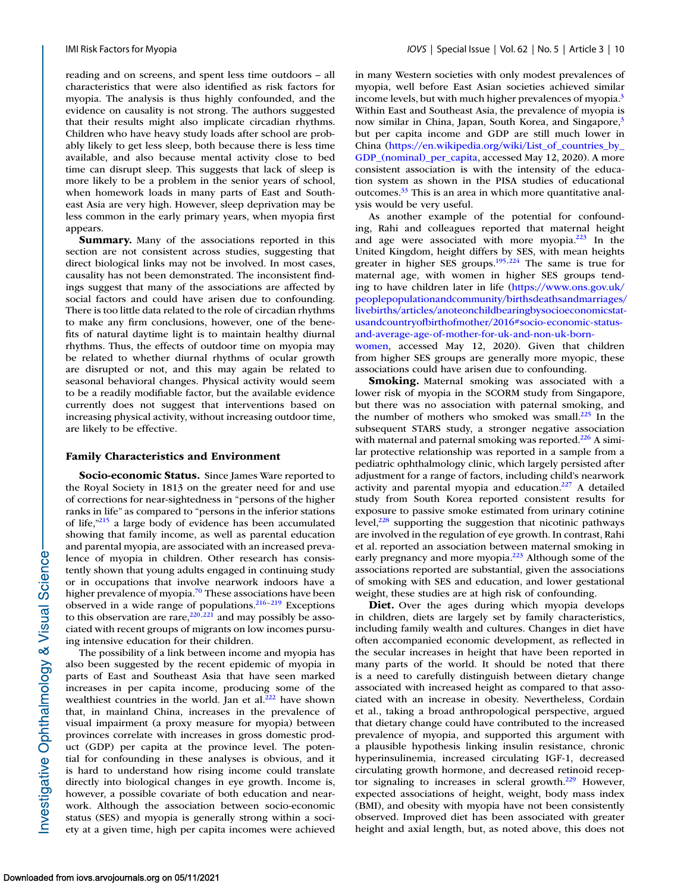reading and on screens, and spent less time outdoors – all characteristics that were also identified as risk factors for myopia. The analysis is thus highly confounded, and the evidence on causality is not strong. The authors suggested that their results might also implicate circadian rhythms. Children who have heavy study loads after school are probably likely to get less sleep, both because there is less time available, and also because mental activity close to bed time can disrupt sleep. This suggests that lack of sleep is more likely to be a problem in the senior years of school, when homework loads in many parts of East and Southeast Asia are very high. However, sleep deprivation may be less common in the early primary years, when myopia first appears.

**Summary.** Many of the associations reported in this section are not consistent across studies, suggesting that direct biological links may not be involved. In most cases, causality has not been demonstrated. The inconsistent findings suggest that many of the associations are affected by social factors and could have arisen due to confounding. There is too little data related to the role of circadian rhythms to make any firm conclusions, however, one of the benefits of natural daytime light is to maintain healthy diurnal rhythms. Thus, the effects of outdoor time on myopia may be related to whether diurnal rhythms of ocular growth are disrupted or not, and this may again be related to seasonal behavioral changes. Physical activity would seem to be a readily modifiable factor, but the available evidence currently does not suggest that interventions based on increasing physical activity, without increasing outdoor time, are likely to be effective.

#### **Family Characteristics and Environment**

**Socio-economic Status.** Since James Ware reported to the Royal Society in 1813 on the greater need for and use of corrections for near-sightedness in "persons of the higher ranks in life" as compared to "persons in the inferior stations of life,["215](#page-18-0) a large body of evidence has been accumulated showing that family income, as well as parental education and parental myopia, are associated with an increased prevalence of myopia in children. Other research has consistently shown that young adults engaged in continuing study or in occupations that involve nearwork indoors have a higher prevalence of myopia.<sup>70</sup> These associations have been observed in a wide range of populations.<sup>216-219</sup> Exceptions to this observation are rare,  $220,221$  and may possibly be associated with recent groups of migrants on low incomes pursuing intensive education for their children.

The possibility of a link between income and myopia has also been suggested by the recent epidemic of myopia in parts of East and Southeast Asia that have seen marked increases in per capita income, producing some of the wealthiest countries in the world. Jan et al. $^{222}$  have shown that, in mainland China, increases in the prevalence of visual impairment (a proxy measure for myopia) between provinces correlate with increases in gross domestic product (GDP) per capita at the province level. The potential for confounding in these analyses is obvious, and it is hard to understand how rising income could translate directly into biological changes in eye growth. Income is, however, a possible covariate of both education and nearwork. Although the association between socio-economic status (SES) and myopia is generally strong within a society at a given time, high per capita incomes were achieved in many Western societies with only modest prevalences of myopia, well before East Asian societies achieved similar income levels, but with much higher prevalences of myopia[.3](#page-13-0) Within East and Southeast Asia, the prevalence of myopia is now similar in China, Japan, South Korea, and Singapore,<sup>3</sup> but per capita income and GDP are still much lower in China (https://en.wikipedia.org/wiki/List of countries by GDP (nominal) per capita, accessed May 12, 2020). A more consistent association is with the intensity of the education system as shown in the PISA studies of educational outcomes[.33](#page-13-0) This is an area in which more quantitative analysis would be very useful.

As another example of the potential for confounding, Rahi and colleagues reported that maternal height and age were associated with more myopia.<sup>223</sup> In the United Kingdom, height differs by SES, with mean heights greater in higher SES groups[.195,](#page-17-0)[224](#page-18-0) The same is true for maternal age, with women in higher SES groups tending to have children later in life (https://www.ons.gov.uk/ [peoplepopulationandcommunity/birthsdeathsandmarriages/](https://www.ons.gov.uk/peoplepopulationandcommunity/birthsdeathsandmarriages/livebirths/articles/anoteonchildbearingbysocioeconomicstatusandcountryofbirthofmother/2016#socio-economic-status-and-average-age-of-mother-for-uk-and-non-uk-born-women) livebirths/articles/anoteonchildbearingbysocioeconomicstatusandcountryofbirthofmother/2016#socio-economic-statusand-average-age-of-mother-for-uk-and-non-uk-bornwomen, accessed May 12, 2020). Given that children from higher SES groups are generally more myopic, these associations could have arisen due to confounding.

**Smoking.** Maternal smoking was associated with a lower risk of myopia in the SCORM study from Singapore, but there was no association with paternal smoking, and the number of mothers who smoked was small.<sup>225</sup> In the subsequent STARS study, a stronger negative association with maternal and paternal smoking was reported. $226$  A similar protective relationship was reported in a sample from a pediatric ophthalmology clinic, which largely persisted after adjustment for a range of factors, including child's nearwork activity and parental myopia and education. $227$  A detailed study from South Korea reported consistent results for exposure to passive smoke estimated from urinary cotinine level, $228$  supporting the suggestion that nicotinic pathways are involved in the regulation of eye growth. In contrast, Rahi et al. reported an association between maternal smoking in early pregnancy and more myopia.<sup>223</sup> Although some of the associations reported are substantial, given the associations of smoking with SES and education, and lower gestational weight, these studies are at high risk of confounding.

Diet. Over the ages during which myopia develops in children, diets are largely set by family characteristics, including family wealth and cultures. Changes in diet have often accompanied economic development, as reflected in the secular increases in height that have been reported in many parts of the world. It should be noted that there is a need to carefully distinguish between dietary change associated with increased height as compared to that associated with an increase in obesity. Nevertheless, Cordain et al., taking a broad anthropological perspective, argued that dietary change could have contributed to the increased prevalence of myopia, and supported this argument with a plausible hypothesis linking insulin resistance, chronic hyperinsulinemia, increased circulating IGF-1, decreased circulating growth hormone, and decreased retinoid receptor signaling to increases in scleral growth. $229$  However, expected associations of height, weight, body mass index (BMI), and obesity with myopia have not been consistently observed. Improved diet has been associated with greater height and axial length, but, as noted above, this does not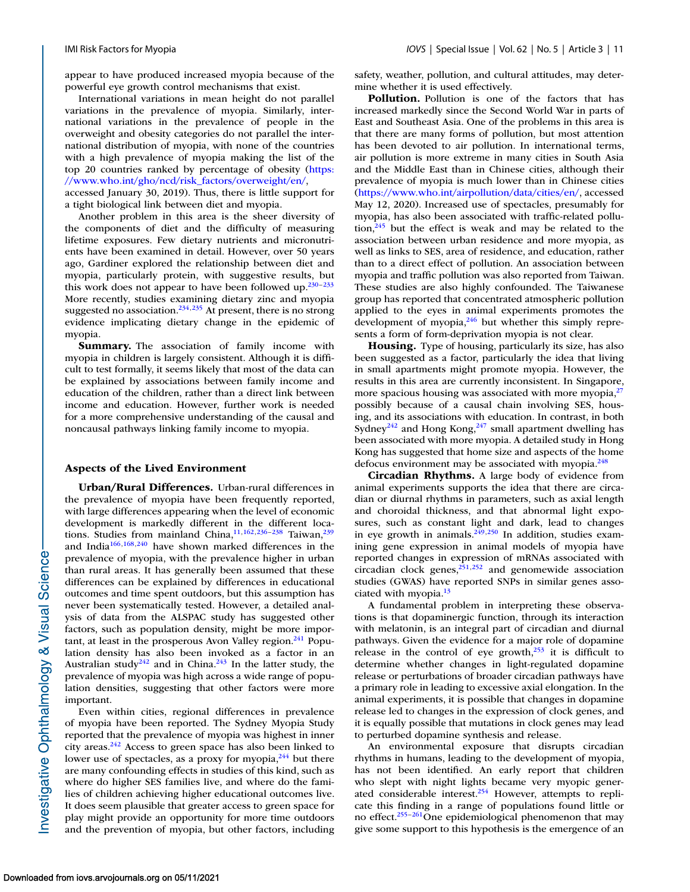appear to have produced increased myopia because of the powerful eye growth control mechanisms that exist.

International variations in mean height do not parallel variations in the prevalence of myopia. Similarly, international variations in the prevalence of people in the overweight and obesity categories do not parallel the international distribution of myopia, with none of the countries with a high prevalence of myopia making the list of the [top 20 countries ranked by percentage of obesity \(https:](https://www.who.int/gho/ncd/riskfactors/overweight/en/) //www.who.int/gho/ncd/risk\_factors/overweight/en/,

accessed January 30, 2019). Thus, there is little support for a tight biological link between diet and myopia.

Another problem in this area is the sheer diversity of the components of diet and the difficulty of measuring lifetime exposures. Few dietary nutrients and micronutrients have been examined in detail. However, over 50 years ago, Gardiner explored the relationship between diet and myopia, particularly protein, with suggestive results, but this work does not appear to have been followed up. $230-233$ More recently, studies examining dietary zinc and myopia suggested no association.<sup>234,235</sup> At present, there is no strong evidence implicating dietary change in the epidemic of myopia.

**Summary.** The association of family income with myopia in children is largely consistent. Although it is difficult to test formally, it seems likely that most of the data can be explained by associations between family income and education of the children, rather than a direct link between income and education. However, further work is needed for a more comprehensive understanding of the causal and noncausal pathways linking family income to myopia.

#### **Aspects of the Lived Environment**

**Urban/Rural Differences.** Urban-rural differences in the prevalence of myopia have been frequently reported, with large differences appearing when the level of economic development is markedly different in the different locations. Studies from mainland China,  $11,162,236-238$  $11,162,236-238$  $11,162,236-238$  Taiwan,  $239$ and Indi[a166,168](#page-17-0)[,240](#page-18-0) have shown marked differences in the prevalence of myopia, with the prevalence higher in urban than rural areas. It has generally been assumed that these differences can be explained by differences in educational outcomes and time spent outdoors, but this assumption has never been systematically tested. However, a detailed analysis of data from the ALSPAC study has suggested other factors, such as population density, might be more important, at least in the prosperous Avon Valley region. $^{241}$  Population density has also been invoked as a factor in an Australian study<sup>242</sup> and in China.<sup>243</sup> In the latter study, the prevalence of myopia was high across a wide range of population densities, suggesting that other factors were more important.

Even within cities, regional differences in prevalence of myopia have been reported. The Sydney Myopia Study reported that the prevalence of myopia was highest in inner city areas. $242$  Access to green space has also been linked to lower use of spectacles, as a proxy for myopia, $^{244}$  but there are many confounding effects in studies of this kind, such as where do higher SES families live, and where do the families of children achieving higher educational outcomes live. It does seem plausible that greater access to green space for play might provide an opportunity for more time outdoors and the prevention of myopia, but other factors, including safety, weather, pollution, and cultural attitudes, may determine whether it is used effectively.

**Pollution.** Pollution is one of the factors that has increased markedly since the Second World War in parts of East and Southeast Asia. One of the problems in this area is that there are many forms of pollution, but most attention has been devoted to air pollution. In international terms, air pollution is more extreme in many cities in South Asia and the Middle East than in Chinese cities, although their prevalence of myopia is much lower than in Chinese cities [\(https://www.who.int/airpollution/data/cities/en/,](https://www.who.int/airpollution/data/cities/en/) accessed May 12, 2020). Increased use of spectacles, presumably for myopia, has also been associated with traffic-related pollution, $245$  but the effect is weak and may be related to the association between urban residence and more myopia, as well as links to SES, area of residence, and education, rather than to a direct effect of pollution. An association between myopia and traffic pollution was also reported from Taiwan. These studies are also highly confounded. The Taiwanese group has reported that concentrated atmospheric pollution applied to the eyes in animal experiments promotes the development of myopia,<sup>246</sup> but whether this simply represents a form of form-deprivation myopia is not clear.

**Housing.** Type of housing, particularly its size, has also been suggested as a factor, particularly the idea that living in small apartments might promote myopia. However, the results in this area are currently inconsistent. In Singapore, more spacious housing was associated with more myopia, $^{27}$ possibly because of a causal chain involving SES, housing, and its associations with education. In contrast, in both Sydney<sup>242</sup> and Hong Kong,<sup>247</sup> small apartment dwelling has been associated with more myopia. A detailed study in Hong Kong has suggested that home size and aspects of the home defocus environment may be associated with myopia.<sup>248</sup>

**Circadian Rhythms.** A large body of evidence from animal experiments supports the idea that there are circadian or diurnal rhythms in parameters, such as axial length and choroidal thickness, and that abnormal light exposures, such as constant light and dark, lead to changes in eye growth in animals.<sup>249,250</sup> In addition, studies examining gene expression in animal models of myopia have reported changes in expression of mRNAs associated with circadian clock genes, $251,252$  and genomewide association studies (GWAS) have reported SNPs in similar genes associated with myopia[.13](#page-13-0)

A fundamental problem in interpreting these observations is that dopaminergic function, through its interaction with melatonin, is an integral part of circadian and diurnal pathways. Given the evidence for a major role of dopamine release in the control of eye growth,<sup>253</sup> it is difficult to determine whether changes in light-regulated dopamine release or perturbations of broader circadian pathways have a primary role in leading to excessive axial elongation. In the animal experiments, it is possible that changes in dopamine release led to changes in the expression of clock genes, and it is equally possible that mutations in clock genes may lead to perturbed dopamine synthesis and release.

An environmental exposure that disrupts circadian rhythms in humans, leading to the development of myopia, has not been identified. An early report that children who slept with night lights became very myopic generated considerable interest. $254$  However, attempts to replicate this finding in a range of populations found little or no effect.<sup>255–261</sup>One epidemiological phenomenon that may give some support to this hypothesis is the emergence of an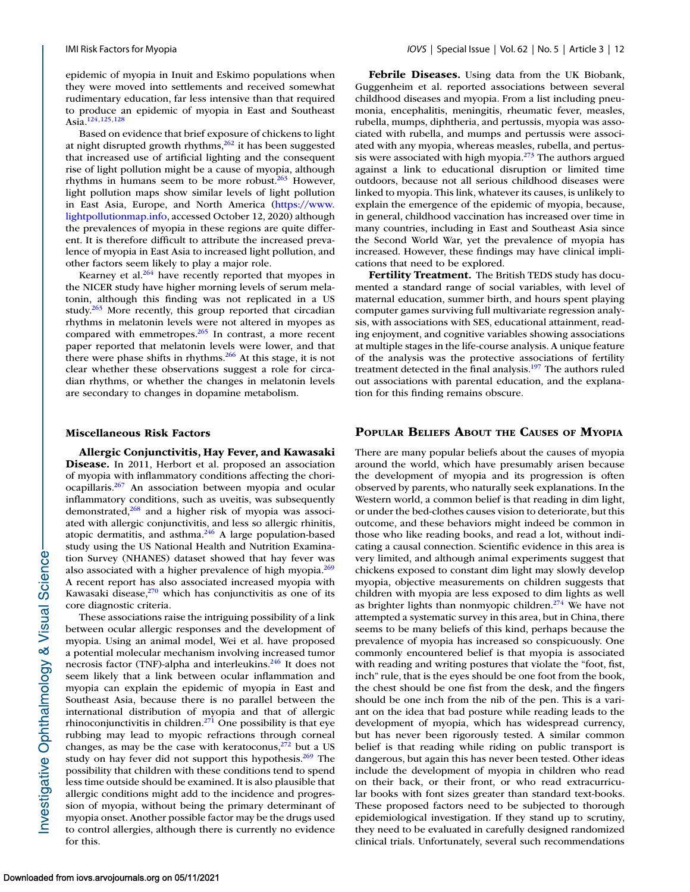epidemic of myopia in Inuit and Eskimo populations when they were moved into settlements and received somewhat rudimentary education, far less intensive than that required to produce an epidemic of myopia in East and Southeast Asia[.124,125,128](#page-16-0)

Based on evidence that brief exposure of chickens to light at night disrupted growth rhythms,  $262$  it has been suggested that increased use of artificial lighting and the consequent rise of light pollution might be a cause of myopia, although rhythms in humans seem to be more robust. $263$  However, light pollution maps show similar levels of light pollution in East Asia, Europe, and North America (https://www. [lightpollutionmap.info, accessed October 12, 2020\) although](https://www.lightpollutionmap.info) the prevalences of myopia in these regions are quite different. It is therefore difficult to attribute the increased prevalence of myopia in East Asia to increased light pollution, and other factors seem likely to play a major role.

Kearney et al. $264$  have recently reported that myopes in the NICER study have higher morning levels of serum melatonin, although this finding was not replicated in a US study. $263$  More recently, this group reported that circadian rhythms in melatonin levels were not altered in myopes as compared with emmetropes.<sup>265</sup> In contrast, a more recent paper reported that melatonin levels were lower, and that there were phase shifts in rhythms.<sup>266</sup> At this stage, it is not clear whether these observations suggest a role for circadian rhythms, or whether the changes in melatonin levels are secondary to changes in dopamine metabolism.

#### **Miscellaneous Risk Factors**

**Allergic Conjunctivitis, Hay Fever, and Kawasaki Disease.** In 2011, Herbort et al. proposed an association of myopia with inflammatory conditions affecting the choriocapillaris. $267$  An association between myopia and ocular inflammatory conditions, such as uveitis, was subsequently demonstrated, $268$  and a higher risk of myopia was associated with allergic conjunctivitis, and less so allergic rhinitis, atopic dermatitis, and asthma. $246$  A large population-based study using the US National Health and Nutrition Examination Survey (NHANES) dataset showed that hay fever was also associated with a higher prevalence of high myopia.<sup>269</sup> A recent report has also associated increased myopia with Kawasaki disease, $270$  which has conjunctivitis as one of its core diagnostic criteria.

These associations raise the intriguing possibility of a link between ocular allergic responses and the development of myopia. Using an animal model, Wei et al. have proposed a potential molecular mechanism involving increased tumor necrosis factor (TNF)-alpha and interleukins.<sup>246</sup> It does not seem likely that a link between ocular inflammation and myopia can explain the epidemic of myopia in East and Southeast Asia, because there is no parallel between the international distribution of myopia and that of allergic rhinoconjunctivitis in children.<sup>271</sup> One possibility is that eye rubbing may lead to myopic refractions through corneal changes, as may be the case with keratoconus, $272$  but a US study on hay fever did not support this hypothesis. $269$  The possibility that children with these conditions tend to spend less time outside should be examined. It is also plausible that allergic conditions might add to the incidence and progression of myopia, without being the primary determinant of myopia onset. Another possible factor may be the drugs used to control allergies, although there is currently no evidence for this.

**Febrile Diseases.** Using data from the UK Biobank, Guggenheim et al. reported associations between several childhood diseases and myopia. From a list including pneumonia, encephalitis, meningitis, rheumatic fever, measles, rubella, mumps, diphtheria, and pertussis, myopia was associated with rubella, and mumps and pertussis were associated with any myopia, whereas measles, rubella, and pertussis were associated with high myopia. $273$  The authors argued against a link to educational disruption or limited time outdoors, because not all serious childhood diseases were linked to myopia. This link, whatever its causes, is unlikely to explain the emergence of the epidemic of myopia, because, in general, childhood vaccination has increased over time in many countries, including in East and Southeast Asia since the Second World War, yet the prevalence of myopia has increased. However, these findings may have clinical implications that need to be explored.

**Fertility Treatment.** The British TEDS study has documented a standard range of social variables, with level of maternal education, summer birth, and hours spent playing computer games surviving full multivariate regression analysis, with associations with SES, educational attainment, reading enjoyment, and cognitive variables showing associations at multiple stages in the life-course analysis. A unique feature of the analysis was the protective associations of fertility treatment detected in the final analysis.<sup>197</sup> The authors ruled out associations with parental education, and the explanation for this finding remains obscure.

## **POPULAR BELIEFS ABOUT THE CAUSES OF MYOPIA**

There are many popular beliefs about the causes of myopia around the world, which have presumably arisen because the development of myopia and its progression is often observed by parents, who naturally seek explanations. In the Western world, a common belief is that reading in dim light, or under the bed-clothes causes vision to deteriorate, but this outcome, and these behaviors might indeed be common in those who like reading books, and read a lot, without indicating a causal connection. Scientific evidence in this area is very limited, and although animal experiments suggest that chickens exposed to constant dim light may slowly develop myopia, objective measurements on children suggests that children with myopia are less exposed to dim lights as well as brighter lights than nonmyopic children.<sup>274</sup> We have not attempted a systematic survey in this area, but in China, there seems to be many beliefs of this kind, perhaps because the prevalence of myopia has increased so conspicuously. One commonly encountered belief is that myopia is associated with reading and writing postures that violate the "foot, fist, inch" rule, that is the eyes should be one foot from the book, the chest should be one fist from the desk, and the fingers should be one inch from the nib of the pen. This is a variant on the idea that bad posture while reading leads to the development of myopia, which has widespread currency, but has never been rigorously tested. A similar common belief is that reading while riding on public transport is dangerous, but again this has never been tested. Other ideas include the development of myopia in children who read on their back, or their front, or who read extracurricular books with font sizes greater than standard text-books. These proposed factors need to be subjected to thorough epidemiological investigation. If they stand up to scrutiny, they need to be evaluated in carefully designed randomized clinical trials. Unfortunately, several such recommendations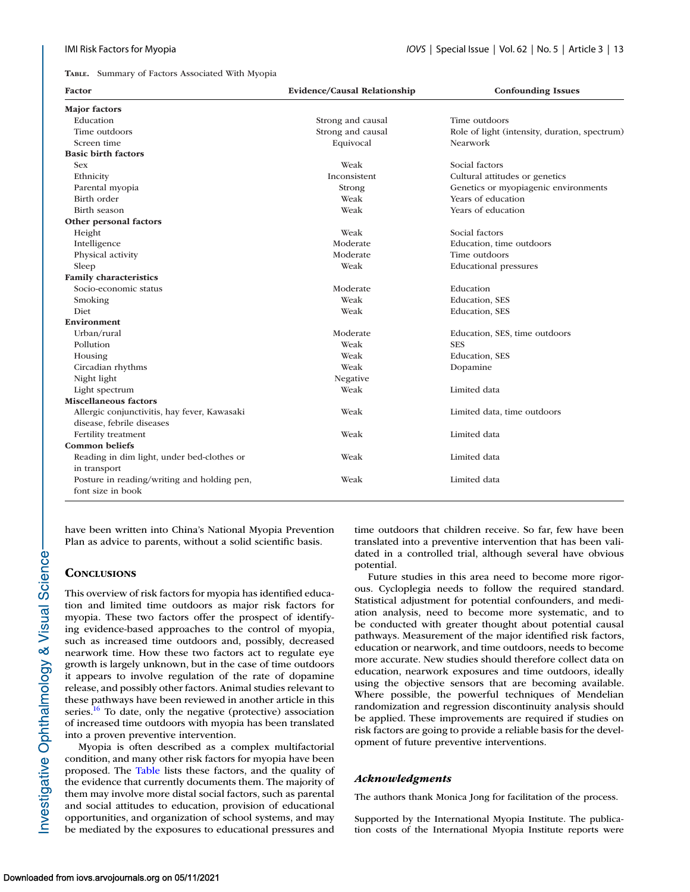**TABLE.** Summary of Factors Associated With Myopia

| Factor                                                                           | Evidence/Causal Relationship | <b>Confounding Issues</b>                     |
|----------------------------------------------------------------------------------|------------------------------|-----------------------------------------------|
| <b>Major</b> factors                                                             |                              |                                               |
| Education                                                                        | Strong and causal            | Time outdoors                                 |
| Time outdoors                                                                    | Strong and causal            | Role of light (intensity, duration, spectrum) |
| Screen time                                                                      | Equivocal                    | Nearwork                                      |
| <b>Basic birth factors</b>                                                       |                              |                                               |
| <b>Sex</b>                                                                       | Weak                         | Social factors                                |
| Ethnicity                                                                        | Inconsistent                 | Cultural attitudes or genetics                |
| Parental myopia                                                                  | Strong                       | Genetics or myopiagenic environments          |
| Birth order                                                                      | Weak                         | Years of education                            |
| <b>Birth season</b>                                                              | Weak                         | Years of education                            |
| Other personal factors                                                           |                              |                                               |
| Height                                                                           | Weak                         | Social factors                                |
| Intelligence                                                                     | Moderate                     | Education, time outdoors                      |
| Physical activity                                                                | Moderate                     | Time outdoors                                 |
| Sleep                                                                            | Weak                         | <b>Educational pressures</b>                  |
| <b>Family characteristics</b>                                                    |                              |                                               |
| Socio-economic status                                                            | Moderate                     | Education                                     |
| Smoking                                                                          | Weak                         | Education, SES                                |
| Diet                                                                             | Weak                         | Education, SES                                |
| Environment                                                                      |                              |                                               |
| Urban/rural                                                                      | Moderate                     | Education, SES, time outdoors                 |
| Pollution                                                                        | Weak                         | <b>SES</b>                                    |
| Housing                                                                          | Weak                         | Education, SES                                |
| Circadian rhythms                                                                | Weak                         | Dopamine                                      |
| Night light                                                                      | Negative                     |                                               |
| Light spectrum                                                                   | Weak                         | Limited data                                  |
| <b>Miscellaneous factors</b>                                                     |                              |                                               |
| Allergic conjunctivitis, hay fever, Kawasaki                                     | Weak                         | Limited data, time outdoors                   |
| disease, febrile diseases                                                        |                              |                                               |
| Fertility treatment                                                              | Weak                         | Limited data                                  |
| <b>Common beliefs</b>                                                            |                              |                                               |
| Reading in dim light, under bed-clothes or                                       | Weak                         | Limited data                                  |
| in transport<br>Posture in reading/writing and holding pen,<br>font size in book | Weak                         | Limited data                                  |

have been written into China's National Myopia Prevention Plan as advice to parents, without a solid scientific basis.

## **CONCLUSIONS**

This overview of risk factors for myopia has identified education and limited time outdoors as major risk factors for myopia. These two factors offer the prospect of identifying evidence-based approaches to the control of myopia, such as increased time outdoors and, possibly, decreased nearwork time. How these two factors act to regulate eye growth is largely unknown, but in the case of time outdoors it appears to involve regulation of the rate of dopamine release, and possibly other factors. Animal studies relevant to these pathways have been reviewed in another article in this series.<sup>16</sup> To date, only the negative (protective) association of increased time outdoors with myopia has been translated into a proven preventive intervention.

Myopia is often described as a complex multifactorial condition, and many other risk factors for myopia have been proposed. The Table lists these factors, and the quality of the evidence that currently documents them. The majority of them may involve more distal social factors, such as parental and social attitudes to education, provision of educational opportunities, and organization of school systems, and may be mediated by the exposures to educational pressures and time outdoors that children receive. So far, few have been translated into a preventive intervention that has been validated in a controlled trial, although several have obvious potential.

Future studies in this area need to become more rigorous. Cycloplegia needs to follow the required standard. Statistical adjustment for potential confounders, and mediation analysis, need to become more systematic, and to be conducted with greater thought about potential causal pathways. Measurement of the major identified risk factors, education or nearwork, and time outdoors, needs to become more accurate. New studies should therefore collect data on education, nearwork exposures and time outdoors, ideally using the objective sensors that are becoming available. Where possible, the powerful techniques of Mendelian randomization and regression discontinuity analysis should be applied. These improvements are required if studies on risk factors are going to provide a reliable basis for the development of future preventive interventions.

## *Acknowledgments*

The authors thank Monica Jong for facilitation of the process.

Supported by the International Myopia Institute. The publication costs of the International Myopia Institute reports were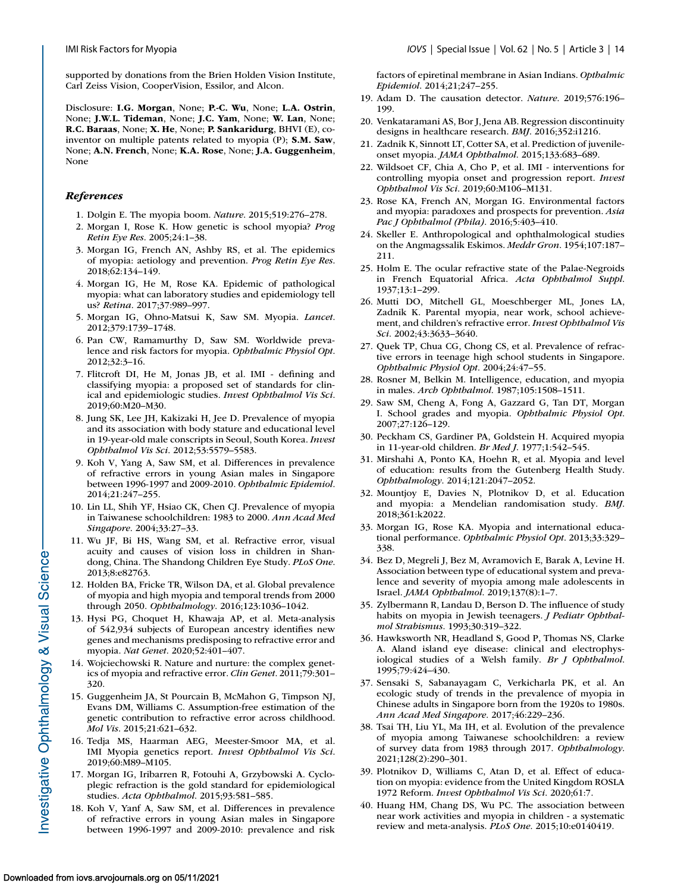<span id="page-13-0"></span>supported by donations from the Brien Holden Vision Institute, Carl Zeiss Vision, CooperVision, Essilor, and Alcon.

Disclosure: **I.G. Morgan**, None; **P.-C. Wu**, None; **L.A. Ostrin**, None; **J.W.L. Tideman**, None; **J.C. Yam**, None; **W. Lan**, None; **R.C. Baraas**, None; **X. He**, None; **P. Sankaridurg**, BHVI (E), coinventor on multiple patents related to myopia (P); **S.M. Saw**, None; **A.N. French**, None; **K.A. Rose**, None; **J.A. Guggenheim**, None

## *References*

- 1. Dolgin E. The myopia boom. *Nature*. 2015;519:276–278.
- 2. Morgan I, Rose K. How genetic is school myopia? *Prog Retin Eye Res*. 2005;24:1–38.
- 3. Morgan IG, French AN, Ashby RS, et al. The epidemics of myopia: aetiology and prevention. *Prog Retin Eye Res*. 2018;62:134–149.
- 4. Morgan IG, He M, Rose KA. Epidemic of pathological myopia: what can laboratory studies and epidemiology tell us? *Retina*. 2017;37:989–997.
- 5. Morgan IG, Ohno-Matsui K, Saw SM. Myopia. *Lancet*. 2012;379:1739–1748.
- 6. Pan CW, Ramamurthy D, Saw SM. Worldwide prevalence and risk factors for myopia. *Ophthalmic Physiol Opt*. 2012;32:3–16.
- 7. Flitcroft DI, He M, Jonas JB, et al. IMI defining and classifying myopia: a proposed set of standards for clinical and epidemiologic studies. *Invest Ophthalmol Vis Sci*. 2019;60:M20–M30.
- 8. Jung SK, Lee JH, Kakizaki H, Jee D. Prevalence of myopia and its association with body stature and educational level in 19-year-old male conscripts in Seoul, South Korea. *Invest Ophthalmol Vis Sci*. 2012;53:5579–5583.
- 9. Koh V, Yang A, Saw SM, et al. Differences in prevalence of refractive errors in young Asian males in Singapore between 1996-1997 and 2009-2010. *Ophthalmic Epidemiol*. 2014;21:247–255.
- 10. Lin LL, Shih YF, Hsiao CK, Chen CJ. Prevalence of myopia in Taiwanese schoolchildren: 1983 to 2000. *Ann Acad Med Singapore*. 2004;33:27–33.
- 11. Wu JF, Bi HS, Wang SM, et al. Refractive error, visual acuity and causes of vision loss in children in Shandong, China. The Shandong Children Eye Study. *PLoS One*. 2013;8:e82763.
- 12. Holden BA, Fricke TR, Wilson DA, et al. Global prevalence of myopia and high myopia and temporal trends from 2000 through 2050. *Ophthalmology*. 2016;123:1036–1042.
- 13. Hysi PG, Choquet H, Khawaja AP, et al. Meta-analysis of 542,934 subjects of European ancestry identifies new genes and mechanisms predisposing to refractive error and myopia. *Nat Genet*. 2020;52:401–407.
- 14. Wojciechowski R. Nature and nurture: the complex genetics of myopia and refractive error. *Clin Genet*. 2011;79:301– 320.
- 15. Guggenheim JA, St Pourcain B, McMahon G, Timpson NJ, Evans DM, Williams C. Assumption-free estimation of the genetic contribution to refractive error across childhood. *Mol Vis*. 2015;21:621–632.
- 16. Tedja MS, Haarman AEG, Meester-Smoor MA, et al. IMI Myopia genetics report. *Invest Ophthalmol Vis Sci*. 2019;60:M89–M105.
- 17. Morgan IG, Iribarren R, Fotouhi A, Grzybowski A. Cycloplegic refraction is the gold standard for epidemiological studies. *Acta Ophthalmol*. 2015;93:581–585.
- 18. Koh V, Yanf A, Saw SM, et al. Differences in prevalence of refractive errors in young Asian males in Singapore between 1996-1997 and 2009-2010: prevalence and risk

factors of epiretinal membrane in Asian Indians. *Opthalmic Epidemiol*. 2014;21;247–255.

- 19. Adam D. The causation detector. *Nature*. 2019;576:196– 199.
- 20. Venkataramani AS, Bor J, Jena AB. Regression discontinuity designs in healthcare research. *BMJ*. 2016;352:i1216.
- 21. Zadnik K, Sinnott LT, Cotter SA, et al. Prediction of juvenileonset myopia. *JAMA Ophthalmol*. 2015;133:683–689.
- 22. Wildsoet CF, Chia A, Cho P, et al. IMI interventions for controlling myopia onset and progression report. *Invest Ophthalmol Vis Sci*. 2019;60:M106–M131.
- 23. Rose KA, French AN, Morgan IG. Environmental factors and myopia: paradoxes and prospects for prevention. *Asia Pac J Ophthalmol (Phila)*. 2016;5:403–410.
- 24. Skeller E. Anthropological and ophthalmological studies on the Angmagssalik Eskimos. *Meddr Gron*. 1954;107:187– 211.
- 25. Holm E. The ocular refractive state of the Palae-Negroids in French Equatorial Africa. *Acta Ophthalmol Suppl*. 1937;13:1–299.
- 26. Mutti DO, Mitchell GL, Moeschberger ML, Jones LA, Zadnik K. Parental myopia, near work, school achievement, and children's refractive error. *Invest Ophthalmol Vis Sci*. 2002;43:3633–3640.
- 27. Quek TP, Chua CG, Chong CS, et al. Prevalence of refractive errors in teenage high school students in Singapore. *Ophthalmic Physiol Opt*. 2004;24:47–55.
- 28. Rosner M, Belkin M. Intelligence, education, and myopia in males. *Arch Ophthalmol*. 1987;105:1508–1511.
- 29. Saw SM, Cheng A, Fong A, Gazzard G, Tan DT, Morgan I. School grades and myopia. *Ophthalmic Physiol Opt*. 2007;27:126–129.
- 30. Peckham CS, Gardiner PA, Goldstein H. Acquired myopia in 11-year-old children. *Br Med J*. 1977;1:542–545.
- 31. Mirshahi A, Ponto KA, Hoehn R, et al. Myopia and level of education: results from the Gutenberg Health Study. *Ophthalmology*. 2014;121:2047–2052.
- 32. Mountjoy E, Davies N, Plotnikov D, et al. Education and myopia: a Mendelian randomisation study. *BMJ*. 2018;361:k2022.
- 33. Morgan IG, Rose KA. Myopia and international educational performance. *Ophthalmic Physiol Opt*. 2013;33:329– 338.
- 34. Bez D, Megreli J, Bez M, Avramovich E, Barak A, Levine H. Association between type of educational system and prevalence and severity of myopia among male adolescents in Israel. *JAMA Ophthalmol*. 2019;137(8):1–7.
- 35. Zylbermann R, Landau D, Berson D. The influence of study habits on myopia in Jewish teenagers. *J Pediatr Ophthalmol Strabismus*. 1993;30:319–322.
- 36. Hawksworth NR, Headland S, Good P, Thomas NS, Clarke A. Aland island eye disease: clinical and electrophysiological studies of a Welsh family. *Br J Ophthalmol*. 1995;79:424–430.
- 37. Sensaki S, Sabanayagam C, Verkicharla PK, et al. An ecologic study of trends in the prevalence of myopia in Chinese adults in Singapore born from the 1920s to 1980s. *Ann Acad Med Singapore*. 2017;46:229–236.
- 38. Tsai TH, Liu YL, Ma IH, et al. Evolution of the prevalence of myopia among Taiwanese schoolchildren: a review of survey data from 1983 through 2017. *Ophthalmology*. 2021;128(2):290–301.
- 39. Plotnikov D, Williams C, Atan D, et al. Effect of education on myopia: evidence from the United Kingdom ROSLA 1972 Reform. *Invest Ophthalmol Vis Sci*. 2020;61:7.
- 40. Huang HM, Chang DS, Wu PC. The association between near work activities and myopia in children - a systematic review and meta-analysis. *PLoS One*. 2015;10:e0140419.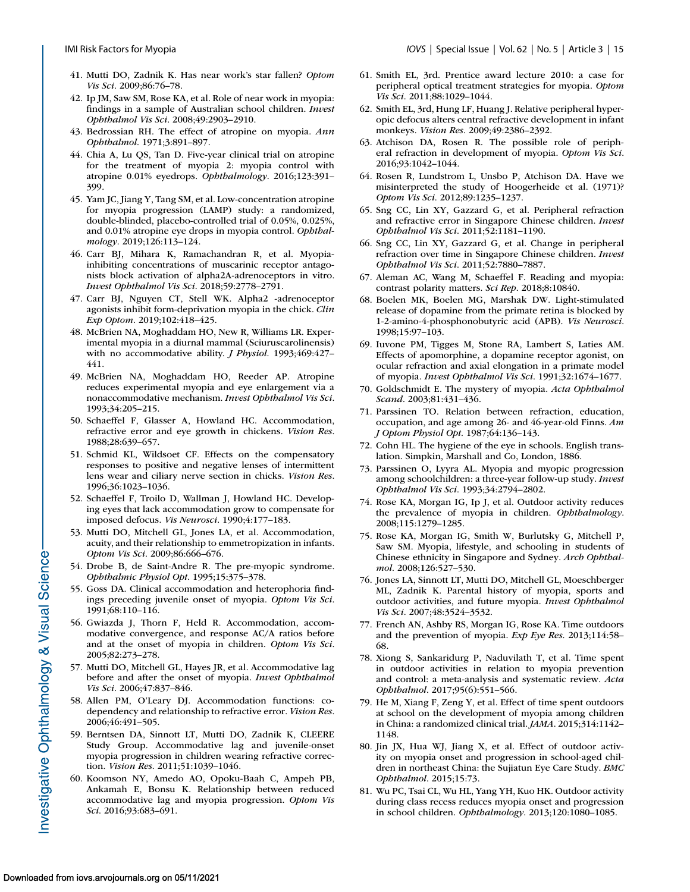- <span id="page-14-0"></span>41. Mutti DO, Zadnik K. Has near work's star fallen? *Optom Vis Sci*. 2009;86:76–78.
- 42. Ip JM, Saw SM, Rose KA, et al. Role of near work in myopia: findings in a sample of Australian school children. *Invest Ophthalmol Vis Sci*. 2008;49:2903–2910.
- 43. Bedrossian RH. The effect of atropine on myopia. *Ann Ophthalmol*. 1971;3:891–897.
- 44. Chia A, Lu QS, Tan D. Five-year clinical trial on atropine for the treatment of myopia 2: myopia control with atropine 0.01% eyedrops. *Ophthalmology*. 2016;123:391– 399.
- 45. Yam JC, Jiang Y, Tang SM, et al. Low-concentration atropine for myopia progression (LAMP) study: a randomized, double-blinded, placebo-controlled trial of 0.05%, 0.025%, and 0.01% atropine eye drops in myopia control. *Ophthalmology*. 2019;126:113–124.
- 46. Carr BJ, Mihara K, Ramachandran R, et al. Myopiainhibiting concentrations of muscarinic receptor antagonists block activation of alpha2A-adrenoceptors in vitro. *Invest Ophthalmol Vis Sci*. 2018;59:2778–2791.
- 47. Carr BJ, Nguyen CT, Stell WK. Alpha2 -adrenoceptor agonists inhibit form-deprivation myopia in the chick. *Clin Exp Optom*. 2019;102:418–425.
- 48. McBrien NA, Moghaddam HO, New R, Williams LR. Experimental myopia in a diurnal mammal (Sciuruscarolinensis) with no accommodative ability. *J Physiol*. 1993;469:427– 441.
- 49. McBrien NA, Moghaddam HO, Reeder AP. Atropine reduces experimental myopia and eye enlargement via a nonaccommodative mechanism. *Invest Ophthalmol Vis Sci*. 1993;34:205–215.
- 50. Schaeffel F, Glasser A, Howland HC. Accommodation, refractive error and eye growth in chickens. *Vision Res*. 1988;28:639–657.
- 51. Schmid KL, Wildsoet CF. Effects on the compensatory responses to positive and negative lenses of intermittent lens wear and ciliary nerve section in chicks. *Vision Res*. 1996;36:1023–1036.
- 52. Schaeffel F, Troilo D, Wallman J, Howland HC. Developing eyes that lack accommodation grow to compensate for imposed defocus. *Vis Neurosci*. 1990;4:177–183.
- 53. Mutti DO, Mitchell GL, Jones LA, et al. Accommodation, acuity, and their relationship to emmetropization in infants. *Optom Vis Sci*. 2009;86:666–676.
- 54. Drobe B, de Saint-Andre R. The pre-myopic syndrome. *Ophthalmic Physiol Opt*. 1995;15:375–378.
- 55. Goss DA. Clinical accommodation and heterophoria findings preceding juvenile onset of myopia. *Optom Vis Sci*. 1991;68:110–116.
- 56. Gwiazda J, Thorn F, Held R. Accommodation, accommodative convergence, and response AC/A ratios before and at the onset of myopia in children. *Optom Vis Sci*. 2005;82:273–278.
- 57. Mutti DO, Mitchell GL, Hayes JR, et al. Accommodative lag before and after the onset of myopia. *Invest Ophthalmol Vis Sci*. 2006;47:837–846.
- 58. Allen PM, O'Leary DJ. Accommodation functions: codependency and relationship to refractive error. *Vision Res*. 2006;46:491–505.
- 59. Berntsen DA, Sinnott LT, Mutti DO, Zadnik K, CLEERE Study Group. Accommodative lag and juvenile-onset myopia progression in children wearing refractive correction. *Vision Res*. 2011;51:1039–1046.
- 60. Koomson NY, Amedo AO, Opoku-Baah C, Ampeh PB, Ankamah E, Bonsu K. Relationship between reduced accommodative lag and myopia progression. *Optom Vis Sci*. 2016;93:683–691.
- 61. Smith EL, 3rd. Prentice award lecture 2010: a case for peripheral optical treatment strategies for myopia. *Optom Vis Sci*. 2011;88:1029–1044.
- 62. Smith EL, 3rd, Hung LF, Huang J. Relative peripheral hyperopic defocus alters central refractive development in infant monkeys. *Vision Res*. 2009;49:2386–2392.
- 63. Atchison DA, Rosen R. The possible role of peripheral refraction in development of myopia. *Optom Vis Sci*. 2016;93:1042–1044.
- 64. Rosen R, Lundstrom L, Unsbo P, Atchison DA. Have we misinterpreted the study of Hoogerheide et al. (1971)? *Optom Vis Sci*. 2012;89:1235–1237.
- 65. Sng CC, Lin XY, Gazzard G, et al. Peripheral refraction and refractive error in Singapore Chinese children. *Invest Ophthalmol Vis Sci*. 2011;52:1181–1190.
- 66. Sng CC, Lin XY, Gazzard G, et al. Change in peripheral refraction over time in Singapore Chinese children. *Invest Ophthalmol Vis Sci*. 2011;52:7880–7887.
- 67. Aleman AC, Wang M, Schaeffel F. Reading and myopia: contrast polarity matters. *Sci Rep*. 2018;8:10840.
- 68. Boelen MK, Boelen MG, Marshak DW. Light-stimulated release of dopamine from the primate retina is blocked by 1-2-amino-4-phosphonobutyric acid (APB). *Vis Neurosci*. 1998;15:97–103.
- 69. Iuvone PM, Tigges M, Stone RA, Lambert S, Laties AM. Effects of apomorphine, a dopamine receptor agonist, on ocular refraction and axial elongation in a primate model of myopia. *Invest Ophthalmol Vis Sci*. 1991;32:1674–1677.
- 70. Goldschmidt E. The mystery of myopia. *Acta Ophthalmol Scand*. 2003;81:431–436.
- 71. Parssinen TO. Relation between refraction, education, occupation, and age among 26- and 46-year-old Finns. *Am J Optom Physiol Opt*. 1987;64:136–143.
- 72. Cohn HL. The hygiene of the eye in schools. English translation. Simpkin, Marshall and Co, London, 1886.
- 73. Parssinen O, Lyyra AL. Myopia and myopic progression among schoolchildren: a three-year follow-up study. *Invest Ophthalmol Vis Sci*. 1993;34:2794–2802.
- 74. Rose KA, Morgan IG, Ip J, et al. Outdoor activity reduces the prevalence of myopia in children. *Ophthalmology*. 2008;115:1279–1285.
- 75. Rose KA, Morgan IG, Smith W, Burlutsky G, Mitchell P, Saw SM. Myopia, lifestyle, and schooling in students of Chinese ethnicity in Singapore and Sydney. *Arch Ophthalmol*. 2008;126:527–530.
- 76. Jones LA, Sinnott LT, Mutti DO, Mitchell GL, Moeschberger ML, Zadnik K. Parental history of myopia, sports and outdoor activities, and future myopia. *Invest Ophthalmol Vis Sci*. 2007;48:3524–3532.
- 77. French AN, Ashby RS, Morgan IG, Rose KA. Time outdoors and the prevention of myopia. *Exp Eye Res*. 2013;114:58– 68.
- 78. Xiong S, Sankaridurg P, Naduvilath T, et al. Time spent in outdoor activities in relation to myopia prevention and control: a meta-analysis and systematic review. *Acta Ophthalmol*. 2017;95(6):551–566.
- 79. He M, Xiang F, Zeng Y, et al. Effect of time spent outdoors at school on the development of myopia among children in China: a randomized clinical trial. *JAMA*. 2015;314:1142– 1148.
- 80. Jin JX, Hua WJ, Jiang X, et al. Effect of outdoor activity on myopia onset and progression in school-aged children in northeast China: the Sujiatun Eye Care Study. *BMC Ophthalmol*. 2015;15:73.
- 81. Wu PC, Tsai CL, Wu HL, Yang YH, Kuo HK. Outdoor activity during class recess reduces myopia onset and progression in school children. *Ophthalmology*. 2013;120:1080–1085.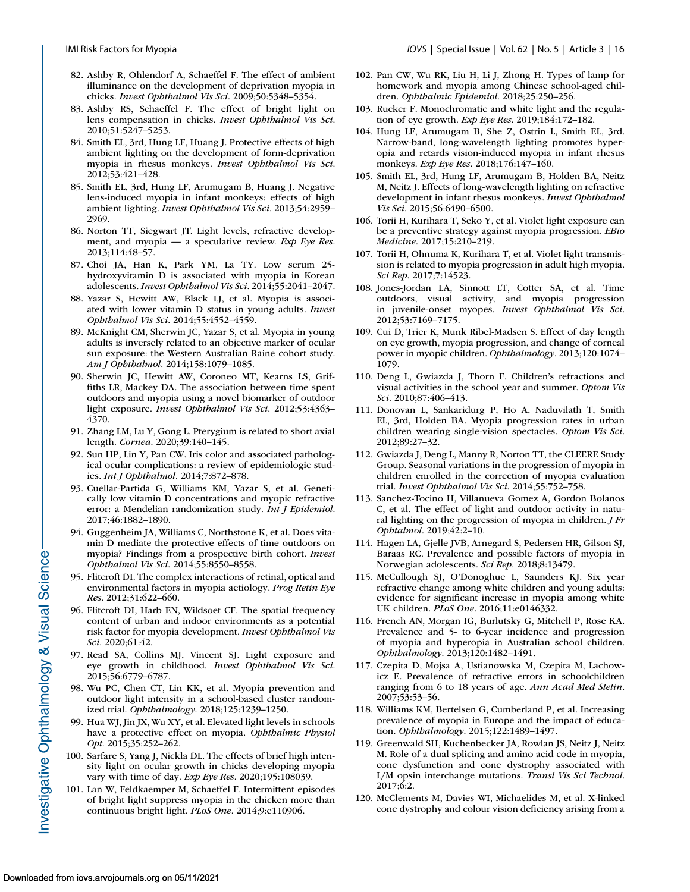- <span id="page-15-0"></span>82. Ashby R, Ohlendorf A, Schaeffel F. The effect of ambient illuminance on the development of deprivation myopia in chicks. *Invest Ophthalmol Vis Sci*. 2009;50:5348–5354.
- 83. Ashby RS, Schaeffel F. The effect of bright light on lens compensation in chicks. *Invest Ophthalmol Vis Sci*. 2010;51:5247–5253.
- 84. Smith EL, 3rd, Hung LF, Huang J. Protective effects of high ambient lighting on the development of form-deprivation myopia in rhesus monkeys. *Invest Ophthalmol Vis Sci*. 2012;53:421–428.
- 85. Smith EL, 3rd, Hung LF, Arumugam B, Huang J. Negative lens-induced myopia in infant monkeys: effects of high ambient lighting. *Invest Ophthalmol Vis Sci*. 2013;54:2959– 2969.
- 86. Norton TT, Siegwart JT. Light levels, refractive development, and myopia — a speculative review. *Exp Eye Res*. 2013;114:48–57.
- 87. Choi JA, Han K, Park YM, La TY. Low serum 25 hydroxyvitamin D is associated with myopia in Korean adolescents. *Invest Ophthalmol Vis Sci*. 2014;55:2041–2047.
- 88. Yazar S, Hewitt AW, Black LJ, et al. Myopia is associated with lower vitamin D status in young adults. *Invest Ophthalmol Vis Sci*. 2014;55:4552–4559.
- 89. McKnight CM, Sherwin JC, Yazar S, et al. Myopia in young adults is inversely related to an objective marker of ocular sun exposure: the Western Australian Raine cohort study. *Am J Ophthalmol*. 2014;158:1079–1085.
- 90. Sherwin JC, Hewitt AW, Coroneo MT, Kearns LS, Griffiths LR, Mackey DA. The association between time spent outdoors and myopia using a novel biomarker of outdoor light exposure. *Invest Ophthalmol Vis Sci*. 2012;53:4363– 4370.
- 91. Zhang LM, Lu Y, Gong L. Pterygium is related to short axial length. *Cornea*. 2020;39:140–145.
- 92. Sun HP, Lin Y, Pan CW. Iris color and associated pathological ocular complications: a review of epidemiologic studies. *Int J Ophthalmol*. 2014;7:872–878.
- 93. Cuellar-Partida G, Williams KM, Yazar S, et al. Genetically low vitamin D concentrations and myopic refractive error: a Mendelian randomization study. *Int J Epidemiol*. 2017;46:1882–1890.
- 94. Guggenheim JA, Williams C, Northstone K, et al. Does vitamin D mediate the protective effects of time outdoors on myopia? Findings from a prospective birth cohort. *Invest Ophthalmol Vis Sci*. 2014;55:8550–8558.
- 95. Flitcroft DI. The complex interactions of retinal, optical and environmental factors in myopia aetiology. *Prog Retin Eye Res*. 2012;31:622–660.
- 96. Flitcroft DI, Harb EN, Wildsoet CF. The spatial frequency content of urban and indoor environments as a potential risk factor for myopia development. *Invest Ophthalmol Vis Sci*. 2020;61:42.
- 97. Read SA, Collins MJ, Vincent SJ. Light exposure and eye growth in childhood. *Invest Ophthalmol Vis Sci*. 2015;56:6779–6787.
- 98. Wu PC, Chen CT, Lin KK, et al. Myopia prevention and outdoor light intensity in a school-based cluster randomized trial. *Ophthalmology*. 2018;125:1239–1250.
- 99. Hua WJ, Jin JX, Wu XY, et al. Elevated light levels in schools have a protective effect on myopia. *Ophthalmic Physiol Opt*. 2015;35:252–262.
- 100. Sarfare S, Yang J, Nickla DL. The effects of brief high intensity light on ocular growth in chicks developing myopia vary with time of day. *Exp Eye Res*. 2020;195:108039.
- 101. Lan W, Feldkaemper M, Schaeffel F. Intermittent episodes of bright light suppress myopia in the chicken more than continuous bright light. *PLoS One*. 2014;9:e110906.
- 102. Pan CW, Wu RK, Liu H, Li J, Zhong H. Types of lamp for homework and myopia among Chinese school-aged children. *Ophthalmic Epidemiol*. 2018;25:250–256.
- 103. Rucker F. Monochromatic and white light and the regulation of eye growth. *Exp Eye Res*. 2019;184:172–182.
- 104. Hung LF, Arumugam B, She Z, Ostrin L, Smith EL, 3rd. Narrow-band, long-wavelength lighting promotes hyperopia and retards vision-induced myopia in infant rhesus monkeys. *Exp Eye Res*. 2018;176:147–160.
- 105. Smith EL, 3rd, Hung LF, Arumugam B, Holden BA, Neitz M, Neitz J. Effects of long-wavelength lighting on refractive development in infant rhesus monkeys. *Invest Ophthalmol Vis Sci*. 2015;56:6490–6500.
- 106. Torii H, Kurihara T, Seko Y, et al. Violet light exposure can be a preventive strategy against myopia progression. *EBio Medicine*. 2017;15:210–219.
- 107. Torii H, Ohnuma K, Kurihara T, et al. Violet light transmission is related to myopia progression in adult high myopia. *Sci Rep*. 2017;7:14523.
- 108. Jones-Jordan LA, Sinnott LT, Cotter SA, et al. Time outdoors, visual activity, and myopia progression in juvenile-onset myopes. *Invest Ophthalmol Vis Sci*. 2012;53:7169–7175.
- 109. Cui D, Trier K, Munk Ribel-Madsen S. Effect of day length on eye growth, myopia progression, and change of corneal power in myopic children. *Ophthalmology*. 2013;120:1074– 1079.
- 110. Deng L, Gwiazda J, Thorn F. Children's refractions and visual activities in the school year and summer. *Optom Vis Sci*. 2010;87:406–413.
- 111. Donovan L, Sankaridurg P, Ho A, Naduvilath T, Smith EL, 3rd, Holden BA. Myopia progression rates in urban children wearing single-vision spectacles. *Optom Vis Sci*. 2012;89:27–32.
- 112. Gwiazda J, Deng L, Manny R, Norton TT, the CLEERE Study Group. Seasonal variations in the progression of myopia in children enrolled in the correction of myopia evaluation trial. *Invest Ophthalmol Vis Sci*. 2014;55:752–758.
- 113. Sanchez-Tocino H, Villanueva Gomez A, Gordon Bolanos C, et al. The effect of light and outdoor activity in natural lighting on the progression of myopia in children. *J Fr Ophtalmol*. 2019;42:2–10.
- 114. Hagen LA, Gjelle JVB, Arnegard S, Pedersen HR, Gilson SJ, Baraas RC. Prevalence and possible factors of myopia in Norwegian adolescents. *Sci Rep*. 2018;8:13479.
- 115. McCullough SJ, O'Donoghue L, Saunders KJ. Six year refractive change among white children and young adults: evidence for significant increase in myopia among white UK children. *PLoS One*. 2016;11:e0146332.
- 116. French AN, Morgan IG, Burlutsky G, Mitchell P, Rose KA. Prevalence and 5- to 6-year incidence and progression of myopia and hyperopia in Australian school children. *Ophthalmology*. 2013;120:1482–1491.
- 117. Czepita D, Mojsa A, Ustianowska M, Czepita M, Lachowicz E. Prevalence of refractive errors in schoolchildren ranging from 6 to 18 years of age. *Ann Acad Med Stetin*. 2007;53:53–56.
- 118. Williams KM, Bertelsen G, Cumberland P, et al. Increasing prevalence of myopia in Europe and the impact of education. *Ophthalmology*. 2015;122:1489–1497.
- 119. Greenwald SH, Kuchenbecker JA, Rowlan JS, Neitz J, Neitz M. Role of a dual splicing and amino acid code in myopia, cone dysfunction and cone dystrophy associated with L/M opsin interchange mutations. *Transl Vis Sci Technol*. 2017;6:2.
- 120. McClements M, Davies WI, Michaelides M, et al. X-linked cone dystrophy and colour vision deficiency arising from a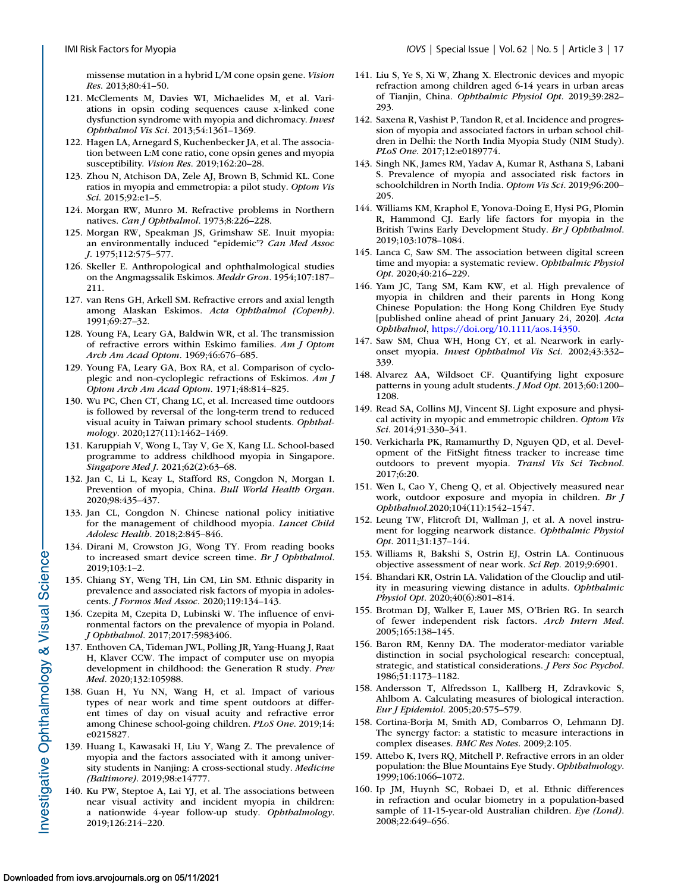<span id="page-16-0"></span>missense mutation in a hybrid L/M cone opsin gene. *Vision Res*. 2013;80:41–50.

- 121. McClements M, Davies WI, Michaelides M, et al. Variations in opsin coding sequences cause x-linked cone dysfunction syndrome with myopia and dichromacy. *Invest Ophthalmol Vis Sci*. 2013;54:1361–1369.
- 122. Hagen LA, Arnegard S, Kuchenbecker JA, et al. The association between L:M cone ratio, cone opsin genes and myopia susceptibility. *Vision Res*. 2019;162:20–28.
- 123. Zhou N, Atchison DA, Zele AJ, Brown B, Schmid KL. Cone ratios in myopia and emmetropia: a pilot study. *Optom Vis Sci*. 2015;92:e1–5.
- 124. Morgan RW, Munro M. Refractive problems in Northern natives. *Can J Ophthalmol*. 1973;8:226–228.
- 125. Morgan RW, Speakman JS, Grimshaw SE. Inuit myopia: an environmentally induced "epidemic"? *Can Med Assoc J*. 1975;112:575–577.
- 126. Skeller E. Anthropological and ophthalmological studies on the Angmagssalik Eskimos. *Meddr Gron*. 1954;107:187– 211.
- 127. van Rens GH, Arkell SM. Refractive errors and axial length among Alaskan Eskimos. *Acta Ophthalmol (Copenh)*. 1991;69:27–32.
- 128. Young FA, Leary GA, Baldwin WR, et al. The transmission of refractive errors within Eskimo families. *Am J Optom Arch Am Acad Optom*. 1969;46:676–685.
- 129. Young FA, Leary GA, Box RA, et al. Comparison of cycloplegic and non-cycloplegic refractions of Eskimos. *Am J Optom Arch Am Acad Optom*. 1971;48:814–825.
- 130. Wu PC, Chen CT, Chang LC, et al. Increased time outdoors is followed by reversal of the long-term trend to reduced visual acuity in Taiwan primary school students. *Ophthalmology*. 2020;127(11):1462–1469.
- 131. Karuppiah V, Wong L, Tay V, Ge X, Kang LL. School-based programme to address childhood myopia in Singapore. *Singapore Med J*. 2021;62(2):63–68.
- 132. Jan C, Li L, Keay L, Stafford RS, Congdon N, Morgan I. Prevention of myopia, China. *Bull World Health Organ*. 2020;98:435–437.
- 133. Jan CL, Congdon N. Chinese national policy initiative for the management of childhood myopia. *Lancet Child Adolesc Health*. 2018;2:845–846.
- 134. Dirani M, Crowston JG, Wong TY. From reading books to increased smart device screen time. *Br J Ophthalmol*. 2019;103:1–2.
- 135. Chiang SY, Weng TH, Lin CM, Lin SM. Ethnic disparity in prevalence and associated risk factors of myopia in adolescents. *J Formos Med Assoc*. 2020;119:134–143.
- 136. Czepita M, Czepita D, Lubinski W. The influence of environmental factors on the prevalence of myopia in Poland. *J Ophthalmol*. 2017;2017:5983406.
- 137. Enthoven CA, Tideman JWL, Polling JR, Yang-Huang J, Raat H, Klaver CCW. The impact of computer use on myopia development in childhood: the Generation R study. *Prev Med*. 2020;132:105988.
- 138. Guan H, Yu NN, Wang H, et al. Impact of various types of near work and time spent outdoors at different times of day on visual acuity and refractive error among Chinese school-going children. *PLoS One*. 2019;14: e0215827.
- 139. Huang L, Kawasaki H, Liu Y, Wang Z. The prevalence of myopia and the factors associated with it among university students in Nanjing: A cross-sectional study. *Medicine (Baltimore)*. 2019;98:e14777.
- 140. Ku PW, Steptoe A, Lai YJ, et al. The associations between near visual activity and incident myopia in children: a nationwide 4-year follow-up study. *Ophthalmology*. 2019;126:214–220.
- 141. Liu S, Ye S, Xi W, Zhang X. Electronic devices and myopic refraction among children aged 6-14 years in urban areas of Tianjin, China. *Ophthalmic Physiol Opt*. 2019;39:282– 293.
- 142. Saxena R, Vashist P, Tandon R, et al. Incidence and progression of myopia and associated factors in urban school children in Delhi: the North India Myopia Study (NIM Study). *PLoS One*. 2017;12:e0189774.
- 143. Singh NK, James RM, Yadav A, Kumar R, Asthana S, Labani S. Prevalence of myopia and associated risk factors in schoolchildren in North India. *Optom Vis Sci*. 2019;96:200– 205.
- 144. Williams KM, Kraphol E, Yonova-Doing E, Hysi PG, Plomin R, Hammond CJ. Early life factors for myopia in the British Twins Early Development Study. *Br J Ophthalmol*. 2019;103:1078–1084.
- 145. Lanca C, Saw SM. The association between digital screen time and myopia: a systematic review. *Ophthalmic Physiol Opt*. 2020;40:216–229.
- 146. Yam JC, Tang SM, Kam KW, et al. High prevalence of myopia in children and their parents in Hong Kong Chinese Population: the Hong Kong Children Eye Study [published online ahead of print January 24, 2020]. *Acta Ophthalmol*, [https://doi.org/10.1111/aos.14350.](https://doi.org/10.1111/aos.14350)
- 147. Saw SM, Chua WH, Hong CY, et al. Nearwork in earlyonset myopia. *Invest Ophthalmol Vis Sci*. 2002;43:332– 339.
- 148. Alvarez AA, Wildsoet CF. Quantifying light exposure patterns in young adult students. *J Mod Opt*. 2013;60:1200– 1208.
- 149. Read SA, Collins MJ, Vincent SJ. Light exposure and physical activity in myopic and emmetropic children. *Optom Vis Sci*. 2014;91:330–341.
- 150. Verkicharla PK, Ramamurthy D, Nguyen QD, et al. Development of the FitSight fitness tracker to increase time outdoors to prevent myopia. *Transl Vis Sci Technol*. 2017;6:20.
- 151. Wen L, Cao Y, Cheng Q, et al. Objectively measured near work, outdoor exposure and myopia in children. *Br J Ophthalmol*.2020;104(11):1542–1547.
- 152. Leung TW, Flitcroft DI, Wallman J, et al. A novel instrument for logging nearwork distance. *Ophthalmic Physiol Opt*. 2011;31:137–144.
- 153. Williams R, Bakshi S, Ostrin EJ, Ostrin LA. Continuous objective assessment of near work. *Sci Rep*. 2019;9:6901.
- 154. Bhandari KR, Ostrin LA. Validation of the Clouclip and utility in measuring viewing distance in adults. *Ophthalmic Physiol Opt*. 2020;40(6):801–814.
- 155. Brotman DJ, Walker E, Lauer MS, O'Brien RG. In search of fewer independent risk factors. *Arch Intern Med*. 2005;165:138–145.
- 156. Baron RM, Kenny DA. The moderator-mediator variable distinction in social psychological research: conceptual, strategic, and statistical considerations. *J Pers Soc Psychol*. 1986;51:1173–1182.
- 158. Andersson T, Alfredsson L, Kallberg H, Zdravkovic S, Ahlbom A. Calculating measures of biological interaction. *Eur J Epidemiol*. 2005;20:575–579.
- 158. Cortina-Borja M, Smith AD, Combarros O, Lehmann DJ. The synergy factor: a statistic to measure interactions in complex diseases. *BMC Res Notes*. 2009;2:105.
- 159. Attebo K, Ivers RQ, Mitchell P. Refractive errors in an older population: the Blue Mountains Eye Study. *Ophthalmology*. 1999;106:1066–1072.
- 160. Ip JM, Huynh SC, Robaei D, et al. Ethnic differences in refraction and ocular biometry in a population-based sample of 11-15-year-old Australian children. *Eye (Lond)*. 2008;22:649–656.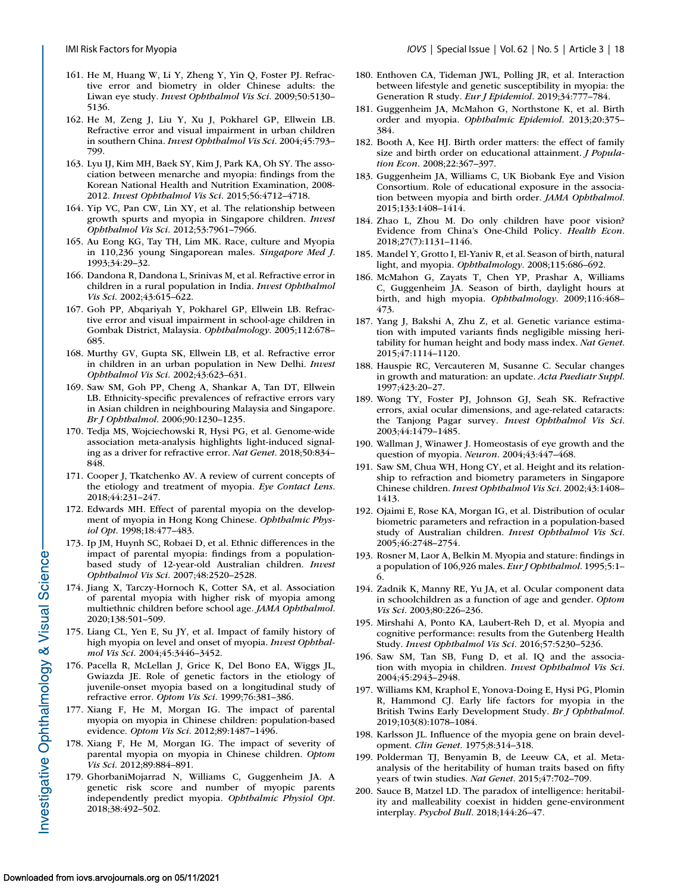- <span id="page-17-0"></span>161. He M, Huang W, Li Y, Zheng Y, Yin Q, Foster PJ. Refractive error and biometry in older Chinese adults: the Liwan eye study. *Invest Ophthalmol Vis Sci*. 2009;50:5130– 5136.
- 162. He M, Zeng J, Liu Y, Xu J, Pokharel GP, Ellwein LB. Refractive error and visual impairment in urban children in southern China. *Invest Ophthalmol Vis Sci*. 2004;45:793– 799.
- 163. Lyu IJ, Kim MH, Baek SY, Kim J, Park KA, Oh SY. The association between menarche and myopia: findings from the Korean National Health and Nutrition Examination, 2008- 2012. *Invest Ophthalmol Vis Sci*. 2015;56:4712–4718.
- 164. Yip VC, Pan CW, Lin XY, et al. The relationship between growth spurts and myopia in Singapore children. *Invest Ophthalmol Vis Sci*. 2012;53:7961–7966.
- 165. Au Eong KG, Tay TH, Lim MK. Race, culture and Myopia in 110,236 young Singaporean males. *Singapore Med J*. 1993;34:29–32.
- 166. Dandona R, Dandona L, Srinivas M, et al. Refractive error in children in a rural population in India. *Invest Ophthalmol Vis Sci*. 2002;43:615–622.
- 167. Goh PP, Abqariyah Y, Pokharel GP, Ellwein LB. Refractive error and visual impairment in school-age children in Gombak District, Malaysia. *Ophthalmology*. 2005;112:678– 685.
- 168. Murthy GV, Gupta SK, Ellwein LB, et al. Refractive error in children in an urban population in New Delhi. *Invest Ophthalmol Vis Sci*. 2002;43:623–631.
- 169. Saw SM, Goh PP, Cheng A, Shankar A, Tan DT, Ellwein LB. Ethnicity-specific prevalences of refractive errors vary in Asian children in neighbouring Malaysia and Singapore. *Br J Ophthalmol*. 2006;90:1230–1235.
- 170. Tedja MS, Wojciechowski R, Hysi PG, et al. Genome-wide association meta-analysis highlights light-induced signaling as a driver for refractive error. *Nat Genet*. 2018;50:834– 848.
- 171. Cooper J, Tkatchenko AV. A review of current concepts of the etiology and treatment of myopia. *Eye Contact Lens*. 2018;44:231–247.
- 172. Edwards MH. Effect of parental myopia on the development of myopia in Hong Kong Chinese. *Ophthalmic Physiol Opt*. 1998;18:477–483.
- 173. Ip JM, Huynh SC, Robaei D, et al. Ethnic differences in the impact of parental myopia: findings from a populationbased study of 12-year-old Australian children. *Invest Ophthalmol Vis Sci*. 2007;48:2520–2528.
- 174. Jiang X, Tarczy-Hornoch K, Cotter SA, et al. Association of parental myopia with higher risk of myopia among multiethnic children before school age. *JAMA Ophthalmol*. 2020;138:501–509.
- 175. Liang CL, Yen E, Su JY, et al. Impact of family history of high myopia on level and onset of myopia. *Invest Ophthalmol Vis Sci*. 2004;45:3446–3452.
- 176. Pacella R, McLellan J, Grice K, Del Bono EA, Wiggs JL, Gwiazda JE. Role of genetic factors in the etiology of juvenile-onset myopia based on a longitudinal study of refractive error. *Optom Vis Sci*. 1999;76:381–386.
- 177. Xiang F, He M, Morgan IG. The impact of parental myopia on myopia in Chinese children: population-based evidence. *Optom Vis Sci*. 2012;89:1487–1496.
- 178. Xiang F, He M, Morgan IG. The impact of severity of parental myopia on myopia in Chinese children. *Optom Vis Sci*. 2012;89:884–891.
- 179. GhorbaniMojarrad N, Williams C, Guggenheim JA. A genetic risk score and number of myopic parents independently predict myopia. *Ophthalmic Physiol Opt*. 2018;38:492–502.
- 180. Enthoven CA, Tideman JWL, Polling JR, et al. Interaction between lifestyle and genetic susceptibility in myopia: the Generation R study. *Eur J Epidemiol*. 2019;34:777–784.
- 181. Guggenheim JA, McMahon G, Northstone K, et al. Birth order and myopia. *Ophthalmic Epidemiol*. 2013;20:375– 384.
- 182. Booth A, Kee HJ. Birth order matters: the effect of family size and birth order on educational attainment. *J Population Econ*. 2008;22:367–397.
- 183. Guggenheim JA, Williams C, UK Biobank Eye and Vision Consortium. Role of educational exposure in the association between myopia and birth order. *JAMA Ophthalmol*. 2015;133:1408–1414.
- 184. Zhao L, Zhou M. Do only children have poor vision? Evidence from China's One-Child Policy. *Health Econ*. 2018;27(7):1131–1146.
- 185. Mandel Y, Grotto I, El-Yaniv R, et al. Season of birth, natural light, and myopia. *Ophthalmology*. 2008;115:686–692.
- 186. McMahon G, Zayats T, Chen YP, Prashar A, Williams C, Guggenheim JA. Season of birth, daylight hours at birth, and high myopia. *Ophthalmology*. 2009;116:468– 473.
- 187. Yang J, Bakshi A, Zhu Z, et al. Genetic variance estimation with imputed variants finds negligible missing heritability for human height and body mass index. *Nat Genet*. 2015;47:1114–1120.
- 188. Hauspie RC, Vercauteren M, Susanne C. Secular changes in growth and maturation: an update. *Acta Paediatr Suppl*. 1997;423:20–27.
- 189. Wong TY, Foster PJ, Johnson GJ, Seah SK. Refractive errors, axial ocular dimensions, and age-related cataracts: the Tanjong Pagar survey. *Invest Ophthalmol Vis Sci*. 2003;44:1479–1485.
- 190. Wallman J, Winawer J. Homeostasis of eye growth and the question of myopia. *Neuron*. 2004;43:447–468.
- 191. Saw SM, Chua WH, Hong CY, et al. Height and its relationship to refraction and biometry parameters in Singapore Chinese children. *Invest Ophthalmol Vis Sci*. 2002;43:1408– 1413.
- 192. Ojaimi E, Rose KA, Morgan IG, et al. Distribution of ocular biometric parameters and refraction in a population-based study of Australian children. *Invest Ophthalmol Vis Sci*. 2005;46:2748–2754.
- 193. Rosner M, Laor A, Belkin M. Myopia and stature: findings in a population of 106,926 males. *Eur J Ophthalmol*. 1995;5:1– 6.
- 194. Zadnik K, Manny RE, Yu JA, et al. Ocular component data in schoolchildren as a function of age and gender. *Optom Vis Sci*. 2003;80:226–236.
- 195. Mirshahi A, Ponto KA, Laubert-Reh D, et al. Myopia and cognitive performance: results from the Gutenberg Health Study. *Invest Ophthalmol Vis Sci*. 2016;57:5230–5236.
- 196. Saw SM, Tan SB, Fung D, et al. IQ and the association with myopia in children. *Invest Ophthalmol Vis Sci*. 2004;45:2943–2948.
- 197. Williams KM, Kraphol E, Yonova-Doing E, Hysi PG, Plomin R, Hammond CJ. Early life factors for myopia in the British Twins Early Development Study. *Br J Ophthalmol*. 2019;103(8):1078–1084.
- 198. Karlsson JL. Influence of the myopia gene on brain development. *Clin Genet*. 1975;8:314–318.
- 199. Polderman TJ, Benyamin B, de Leeuw CA, et al. Metaanalysis of the heritability of human traits based on fifty years of twin studies. *Nat Genet*. 2015;47:702–709.
- 200. Sauce B, Matzel LD. The paradox of intelligence: heritability and malleability coexist in hidden gene-environment interplay. *Psychol Bull*. 2018;144:26–47.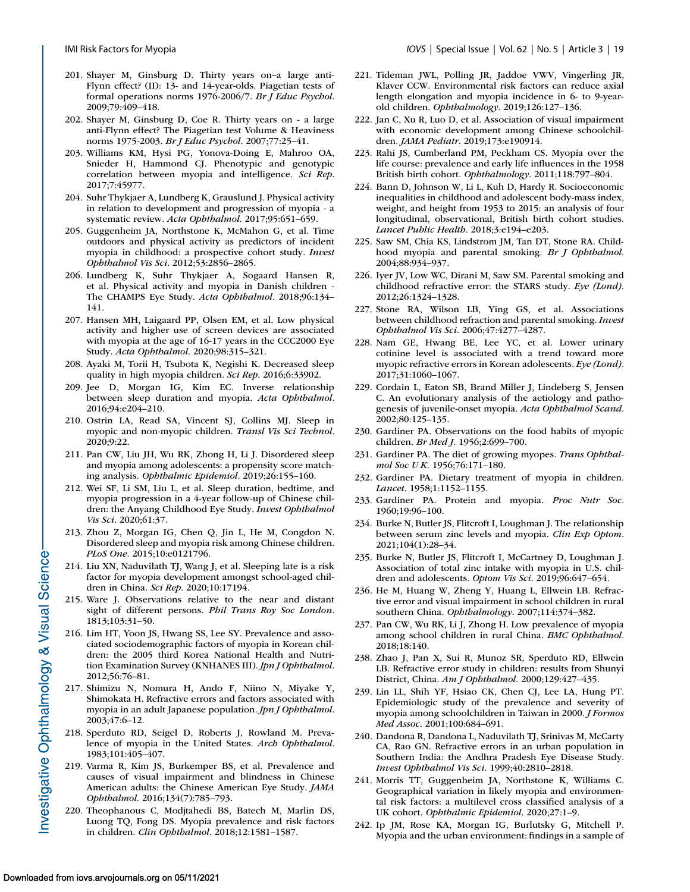- <span id="page-18-0"></span>201. Shayer M, Ginsburg D. Thirty years on–a large anti-Flynn effect? (II): 13- and 14-year-olds. Piagetian tests of formal operations norms 1976-2006/7. *Br J Educ Psychol*. 2009;79:409–418.
- 202. Shayer M, Ginsburg D, Coe R. Thirty years on a large anti-Flynn effect? The Piagetian test Volume & Heaviness norms 1975-2003. *Br J Educ Psychol*. 2007;77:25–41.
- 203. Williams KM, Hysi PG, Yonova-Doing E, Mahroo OA, Snieder H, Hammond CJ. Phenotypic and genotypic correlation between myopia and intelligence. *Sci Rep*. 2017;7:45977.
- 204. Suhr Thykjaer A, Lundberg K, Grauslund J. Physical activity in relation to development and progression of myopia - a systematic review. *Acta Ophthalmol*. 2017;95:651–659.
- 205. Guggenheim JA, Northstone K, McMahon G, et al. Time outdoors and physical activity as predictors of incident myopia in childhood: a prospective cohort study. *Invest Ophthalmol Vis Sci*. 2012;53:2856–2865.
- 206. Lundberg K, Suhr Thykjaer A, Sogaard Hansen R, et al. Physical activity and myopia in Danish children - The CHAMPS Eye Study. *Acta Ophthalmol*. 2018;96:134– 141.
- 207. Hansen MH, Laigaard PP, Olsen EM, et al. Low physical activity and higher use of screen devices are associated with myopia at the age of 16-17 years in the CCC2000 Eye Study. *Acta Ophthalmol*. 2020;98:315–321.
- 208. Ayaki M, Torii H, Tsubota K, Negishi K. Decreased sleep quality in high myopia children. *Sci Rep*. 2016;6:33902.
- 209. Jee D, Morgan IG, Kim EC. Inverse relationship between sleep duration and myopia. *Acta Ophthalmol*. 2016;94:e204–210.
- 210. Ostrin LA, Read SA, Vincent SJ, Collins MJ. Sleep in myopic and non-myopic children. *Transl Vis Sci Technol*. 2020;9:22.
- 211. Pan CW, Liu JH, Wu RK, Zhong H, Li J. Disordered sleep and myopia among adolescents: a propensity score matching analysis. *Ophthalmic Epidemiol*. 2019;26:155–160.
- 212. Wei SF, Li SM, Liu L, et al. Sleep duration, bedtime, and myopia progression in a 4-year follow-up of Chinese children: the Anyang Childhood Eye Study. *Invest Ophthalmol Vis Sci*. 2020;61:37.
- 213. Zhou Z, Morgan IG, Chen Q, Jin L, He M, Congdon N. Disordered sleep and myopia risk among Chinese children. *PLoS One*. 2015;10:e0121796.
- 214. Liu XN, Naduvilath TJ, Wang J, et al. Sleeping late is a risk factor for myopia development amongst school-aged children in China. *Sci Rep*. 2020;10:17194.
- 215. Ware J. Observations relative to the near and distant sight of different persons. *Phil Trans Roy Soc London*. 1813;103:31–50.
- 216. Lim HT, Yoon JS, Hwang SS, Lee SY. Prevalence and associated sociodemographic factors of myopia in Korean children: the 2005 third Korea National Health and Nutrition Examination Survey (KNHANES III). *Jpn J Ophthalmol*. 2012;56:76–81.
- 217. Shimizu N, Nomura H, Ando F, Niino N, Miyake Y, Shimokata H. Refractive errors and factors associated with myopia in an adult Japanese population. *Jpn J Ophthalmol*. 2003;47:6–12.
- 218. Sperduto RD, Seigel D, Roberts J, Rowland M. Prevalence of myopia in the United States. *Arch Ophthalmol*. 1983;101:405–407.
- 219. Varma R, Kim JS, Burkemper BS, et al. Prevalence and causes of visual impairment and blindness in Chinese American adults: the Chinese American Eye Study. *JAMA Ophthalmol*. 2016;134(7):785–793.
- 220. Theophanous C, Modjtahedi BS, Batech M, Marlin DS, Luong TQ, Fong DS. Myopia prevalence and risk factors in children. *Clin Ophthalmol*. 2018;12:1581–1587.
- 221. Tideman JWL, Polling JR, Jaddoe VWV, Vingerling JR, Klaver CCW. Environmental risk factors can reduce axial length elongation and myopia incidence in 6- to 9-yearold children. *Ophthalmology*. 2019;126:127–136.
- 222. Jan C, Xu R, Luo D, et al. Association of visual impairment with economic development among Chinese schoolchildren. *JAMA Pediatr*. 2019;173:e190914.
- 223. Rahi JS, Cumberland PM, Peckham CS. Myopia over the life course: prevalence and early life influences in the 1958 British birth cohort. *Ophthalmology*. 2011;118:797–804.
- 224. Bann D, Johnson W, Li L, Kuh D, Hardy R. Socioeconomic inequalities in childhood and adolescent body-mass index, weight, and height from 1953 to 2015: an analysis of four longitudinal, observational, British birth cohort studies. *Lancet Public Health*. 2018;3:e194–e203.
- 225. Saw SM, Chia KS, Lindstrom JM, Tan DT, Stone RA. Childhood myopia and parental smoking. *Br J Ophthalmol*. 2004;88:934–937.
- 226. Iyer JV, Low WC, Dirani M, Saw SM. Parental smoking and childhood refractive error: the STARS study. *Eye (Lond)*. 2012;26:1324–1328.
- 227. Stone RA, Wilson LB, Ying GS, et al. Associations between childhood refraction and parental smoking. *Invest Ophthalmol Vis Sci*. 2006;47:4277–4287.
- 228. Nam GE, Hwang BE, Lee YC, et al. Lower urinary cotinine level is associated with a trend toward more myopic refractive errors in Korean adolescents. *Eye (Lond)*. 2017;31:1060–1067.
- 229. Cordain L, Eaton SB, Brand Miller J, Lindeberg S, Jensen C. An evolutionary analysis of the aetiology and pathogenesis of juvenile-onset myopia. *Acta Ophthalmol Scand*. 2002;80:125–135.
- 230. Gardiner PA. Observations on the food habits of myopic children. *Br Med J*. 1956;2:699–700.
- 231. Gardiner PA. The diet of growing myopes. *Trans Ophthalmol Soc U K*. 1956;76:171–180.
- 232. Gardiner PA. Dietary treatment of myopia in children. *Lancet*. 1958;1:1152–1155.
- 233. Gardiner PA. Protein and myopia. *Proc Nutr Soc*. 1960;19:96–100.
- 234. Burke N, Butler JS, Flitcroft I, Loughman J. The relationship between serum zinc levels and myopia. *Clin Exp Optom*. 2021;104(1):28–34.
- 235. Burke N, Butler JS, Flitcroft I, McCartney D, Loughman J. Association of total zinc intake with myopia in U.S. children and adolescents. *Optom Vis Sci*. 2019;96:647–654.
- 236. He M, Huang W, Zheng Y, Huang L, Ellwein LB. Refractive error and visual impairment in school children in rural southern China. *Ophthalmology*. 2007;114:374–382.
- 237. Pan CW, Wu RK, Li J, Zhong H. Low prevalence of myopia among school children in rural China. *BMC Ophthalmol*. 2018;18:140.
- 238. Zhao J, Pan X, Sui R, Munoz SR, Sperduto RD, Ellwein LB. Refractive error study in children: results from Shunyi District, China. *Am J Ophthalmol*. 2000;129:427–435.
- 239. Lin LL, Shih YF, Hsiao CK, Chen CJ, Lee LA, Hung PT. Epidemiologic study of the prevalence and severity of myopia among schoolchildren in Taiwan in 2000. *J Formos Med Assoc*. 2001;100:684–691.
- 240. Dandona R, Dandona L, Naduvilath TJ, Srinivas M, McCarty CA, Rao GN. Refractive errors in an urban population in Southern India: the Andhra Pradesh Eye Disease Study. *Invest Ophthalmol Vis Sci*. 1999;40:2810–2818.
- 241. Morris TT, Guggenheim JA, Northstone K, Williams C. Geographical variation in likely myopia and environmental risk factors: a multilevel cross classified analysis of a UK cohort. *Ophthalmic Epidemiol*. 2020;27:1–9.
- 242. Ip JM, Rose KA, Morgan IG, Burlutsky G, Mitchell P. Myopia and the urban environment: findings in a sample of

Investigative Ophthalmology & Visual Science